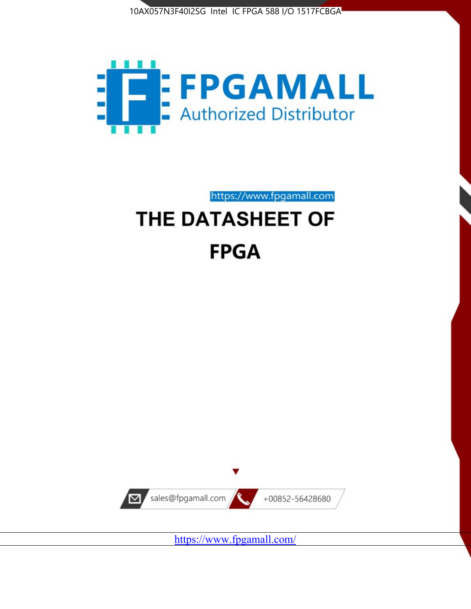



https://www.fpgamall.com

# THE DATASHEET OF **FPGA**



<https://www.fpgamall.com/>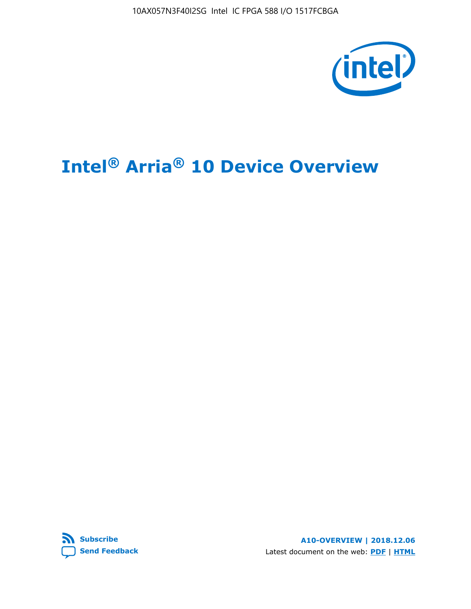10AX057N3F40I2SG Intel IC FPGA 588 I/O 1517FCBGA



# **Intel® Arria® 10 Device Overview**



**A10-OVERVIEW | 2018.12.06** Latest document on the web: **[PDF](https://www.intel.com/content/dam/www/programmable/us/en/pdfs/literature/hb/arria-10/a10_overview.pdf)** | **[HTML](https://www.intel.com/content/www/us/en/programmable/documentation/sam1403480274650.html)**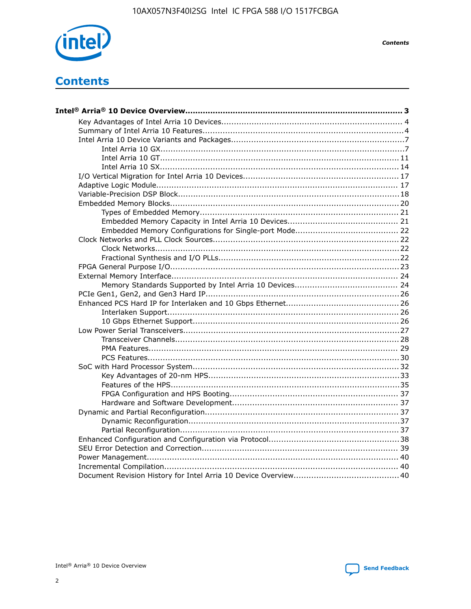

**Contents** 

# **Contents**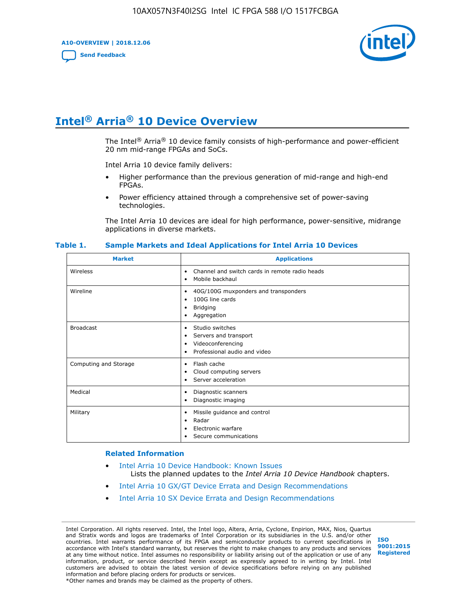**A10-OVERVIEW | 2018.12.06**

**[Send Feedback](mailto:FPGAtechdocfeedback@intel.com?subject=Feedback%20on%20Intel%20Arria%2010%20Device%20Overview%20(A10-OVERVIEW%202018.12.06)&body=We%20appreciate%20your%20feedback.%20In%20your%20comments,%20also%20specify%20the%20page%20number%20or%20paragraph.%20Thank%20you.)**



# **Intel® Arria® 10 Device Overview**

The Intel<sup>®</sup> Arria<sup>®</sup> 10 device family consists of high-performance and power-efficient 20 nm mid-range FPGAs and SoCs.

Intel Arria 10 device family delivers:

- Higher performance than the previous generation of mid-range and high-end FPGAs.
- Power efficiency attained through a comprehensive set of power-saving technologies.

The Intel Arria 10 devices are ideal for high performance, power-sensitive, midrange applications in diverse markets.

| <b>Market</b>         | <b>Applications</b>                                                                                               |
|-----------------------|-------------------------------------------------------------------------------------------------------------------|
| Wireless              | Channel and switch cards in remote radio heads<br>$\bullet$<br>Mobile backhaul<br>٠                               |
| Wireline              | 40G/100G muxponders and transponders<br>٠<br>100G line cards<br>٠<br><b>Bridging</b><br>٠<br>Aggregation<br>٠     |
| <b>Broadcast</b>      | Studio switches<br>٠<br>Servers and transport<br>٠<br>Videoconferencing<br>٠<br>Professional audio and video<br>٠ |
| Computing and Storage | Flash cache<br>٠<br>Cloud computing servers<br>٠<br>Server acceleration<br>٠                                      |
| Medical               | Diagnostic scanners<br>٠<br>Diagnostic imaging<br>٠                                                               |
| Military              | Missile guidance and control<br>٠<br>Radar<br>٠<br>Electronic warfare<br>٠<br>Secure communications<br>٠          |

#### **Table 1. Sample Markets and Ideal Applications for Intel Arria 10 Devices**

#### **Related Information**

- [Intel Arria 10 Device Handbook: Known Issues](http://www.altera.com/support/kdb/solutions/rd07302013_646.html) Lists the planned updates to the *Intel Arria 10 Device Handbook* chapters.
- [Intel Arria 10 GX/GT Device Errata and Design Recommendations](https://www.intel.com/content/www/us/en/programmable/documentation/agz1493851706374.html#yqz1494433888646)
- [Intel Arria 10 SX Device Errata and Design Recommendations](https://www.intel.com/content/www/us/en/programmable/documentation/cru1462832385668.html#cru1462832558642)

Intel Corporation. All rights reserved. Intel, the Intel logo, Altera, Arria, Cyclone, Enpirion, MAX, Nios, Quartus and Stratix words and logos are trademarks of Intel Corporation or its subsidiaries in the U.S. and/or other countries. Intel warrants performance of its FPGA and semiconductor products to current specifications in accordance with Intel's standard warranty, but reserves the right to make changes to any products and services at any time without notice. Intel assumes no responsibility or liability arising out of the application or use of any information, product, or service described herein except as expressly agreed to in writing by Intel. Intel customers are advised to obtain the latest version of device specifications before relying on any published information and before placing orders for products or services. \*Other names and brands may be claimed as the property of others.

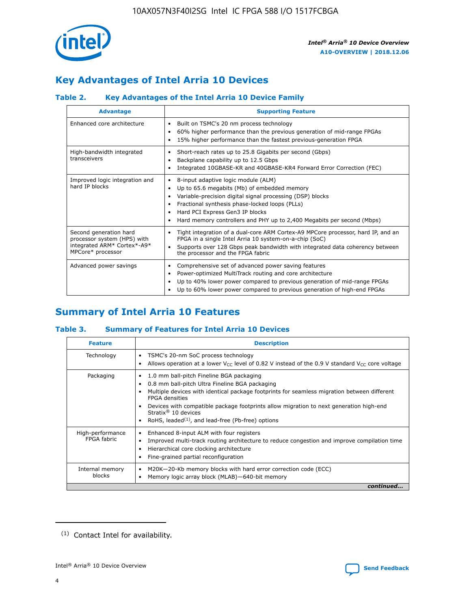

# **Key Advantages of Intel Arria 10 Devices**

# **Table 2. Key Advantages of the Intel Arria 10 Device Family**

| <b>Advantage</b>                                                                                          | <b>Supporting Feature</b>                                                                                                                                                                                                                                                                                                |
|-----------------------------------------------------------------------------------------------------------|--------------------------------------------------------------------------------------------------------------------------------------------------------------------------------------------------------------------------------------------------------------------------------------------------------------------------|
| Enhanced core architecture                                                                                | Built on TSMC's 20 nm process technology<br>٠<br>60% higher performance than the previous generation of mid-range FPGAs<br>٠<br>15% higher performance than the fastest previous-generation FPGA<br>٠                                                                                                                    |
| High-bandwidth integrated<br>transceivers                                                                 | Short-reach rates up to 25.8 Gigabits per second (Gbps)<br>٠<br>Backplane capability up to 12.5 Gbps<br>٠<br>Integrated 10GBASE-KR and 40GBASE-KR4 Forward Error Correction (FEC)<br>٠                                                                                                                                   |
| Improved logic integration and<br>hard IP blocks                                                          | 8-input adaptive logic module (ALM)<br>٠<br>Up to 65.6 megabits (Mb) of embedded memory<br>٠<br>Variable-precision digital signal processing (DSP) blocks<br>Fractional synthesis phase-locked loops (PLLs)<br>Hard PCI Express Gen3 IP blocks<br>Hard memory controllers and PHY up to 2,400 Megabits per second (Mbps) |
| Second generation hard<br>processor system (HPS) with<br>integrated ARM* Cortex*-A9*<br>MPCore* processor | Tight integration of a dual-core ARM Cortex-A9 MPCore processor, hard IP, and an<br>٠<br>FPGA in a single Intel Arria 10 system-on-a-chip (SoC)<br>Supports over 128 Gbps peak bandwidth with integrated data coherency between<br>$\bullet$<br>the processor and the FPGA fabric                                        |
| Advanced power savings                                                                                    | Comprehensive set of advanced power saving features<br>٠<br>Power-optimized MultiTrack routing and core architecture<br>٠<br>Up to 40% lower power compared to previous generation of mid-range FPGAs<br>Up to 60% lower power compared to previous generation of high-end FPGAs                                         |

# **Summary of Intel Arria 10 Features**

## **Table 3. Summary of Features for Intel Arria 10 Devices**

| <b>Feature</b>                  | <b>Description</b>                                                                                                                                                                                                                                                                                                                                                                                 |
|---------------------------------|----------------------------------------------------------------------------------------------------------------------------------------------------------------------------------------------------------------------------------------------------------------------------------------------------------------------------------------------------------------------------------------------------|
| Technology                      | TSMC's 20-nm SoC process technology<br>Allows operation at a lower $V_{\text{CC}}$ level of 0.82 V instead of the 0.9 V standard $V_{\text{CC}}$ core voltage                                                                                                                                                                                                                                      |
| Packaging                       | 1.0 mm ball-pitch Fineline BGA packaging<br>٠<br>0.8 mm ball-pitch Ultra Fineline BGA packaging<br>Multiple devices with identical package footprints for seamless migration between different<br><b>FPGA</b> densities<br>Devices with compatible package footprints allow migration to next generation high-end<br>Stratix $@10$ devices<br>RoHS, leaded $(1)$ , and lead-free (Pb-free) options |
| High-performance<br>FPGA fabric | Enhanced 8-input ALM with four registers<br>Improved multi-track routing architecture to reduce congestion and improve compilation time<br>Hierarchical core clocking architecture<br>Fine-grained partial reconfiguration                                                                                                                                                                         |
| Internal memory<br>blocks       | M20K-20-Kb memory blocks with hard error correction code (ECC)<br>Memory logic array block (MLAB)-640-bit memory                                                                                                                                                                                                                                                                                   |
|                                 | continued                                                                                                                                                                                                                                                                                                                                                                                          |



<sup>(1)</sup> Contact Intel for availability.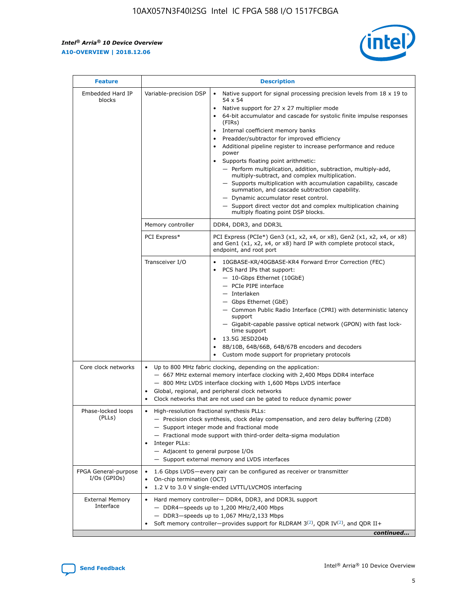r



| <b>Feature</b>                         |                                                                                                                | <b>Description</b>                                                                                                                                                                                                                                                                                                                                                                                                                                                                                                                                                                                                                                                                                                                                                                                                                                               |  |  |  |  |  |  |
|----------------------------------------|----------------------------------------------------------------------------------------------------------------|------------------------------------------------------------------------------------------------------------------------------------------------------------------------------------------------------------------------------------------------------------------------------------------------------------------------------------------------------------------------------------------------------------------------------------------------------------------------------------------------------------------------------------------------------------------------------------------------------------------------------------------------------------------------------------------------------------------------------------------------------------------------------------------------------------------------------------------------------------------|--|--|--|--|--|--|
| Embedded Hard IP<br>blocks             | Variable-precision DSP                                                                                         | Native support for signal processing precision levels from $18 \times 19$ to<br>$\bullet$<br>54 x 54<br>Native support for 27 x 27 multiplier mode<br>$\bullet$<br>64-bit accumulator and cascade for systolic finite impulse responses<br>(FIRs)<br>Internal coefficient memory banks<br>$\bullet$<br>Preadder/subtractor for improved efficiency<br>Additional pipeline register to increase performance and reduce<br>power<br>Supports floating point arithmetic:<br>- Perform multiplication, addition, subtraction, multiply-add,<br>multiply-subtract, and complex multiplication.<br>- Supports multiplication with accumulation capability, cascade<br>summation, and cascade subtraction capability.<br>- Dynamic accumulator reset control.<br>- Support direct vector dot and complex multiplication chaining<br>multiply floating point DSP blocks. |  |  |  |  |  |  |
|                                        | Memory controller                                                                                              | DDR4, DDR3, and DDR3L                                                                                                                                                                                                                                                                                                                                                                                                                                                                                                                                                                                                                                                                                                                                                                                                                                            |  |  |  |  |  |  |
|                                        | PCI Express*                                                                                                   | PCI Express (PCIe*) Gen3 (x1, x2, x4, or x8), Gen2 (x1, x2, x4, or x8)<br>and Gen1 (x1, x2, x4, or x8) hard IP with complete protocol stack,<br>endpoint, and root port                                                                                                                                                                                                                                                                                                                                                                                                                                                                                                                                                                                                                                                                                          |  |  |  |  |  |  |
|                                        | Transceiver I/O                                                                                                | 10GBASE-KR/40GBASE-KR4 Forward Error Correction (FEC)<br>PCS hard IPs that support:<br>- 10-Gbps Ethernet (10GbE)<br>- PCIe PIPE interface<br>- Interlaken<br>- Gbps Ethernet (GbE)<br>- Common Public Radio Interface (CPRI) with deterministic latency<br>support<br>- Gigabit-capable passive optical network (GPON) with fast lock-<br>time support<br>13.5G JESD204b<br>$\bullet$<br>8B/10B, 64B/66B, 64B/67B encoders and decoders<br>Custom mode support for proprietary protocols                                                                                                                                                                                                                                                                                                                                                                        |  |  |  |  |  |  |
| Core clock networks                    | $\bullet$                                                                                                      | Up to 800 MHz fabric clocking, depending on the application:<br>- 667 MHz external memory interface clocking with 2,400 Mbps DDR4 interface<br>- 800 MHz LVDS interface clocking with 1,600 Mbps LVDS interface<br>Global, regional, and peripheral clock networks<br>Clock networks that are not used can be gated to reduce dynamic power                                                                                                                                                                                                                                                                                                                                                                                                                                                                                                                      |  |  |  |  |  |  |
| Phase-locked loops<br>(PLLs)           | High-resolution fractional synthesis PLLs:<br>$\bullet$<br>Integer PLLs:<br>- Adjacent to general purpose I/Os | - Precision clock synthesis, clock delay compensation, and zero delay buffering (ZDB)<br>- Support integer mode and fractional mode<br>- Fractional mode support with third-order delta-sigma modulation<br>- Support external memory and LVDS interfaces                                                                                                                                                                                                                                                                                                                                                                                                                                                                                                                                                                                                        |  |  |  |  |  |  |
| FPGA General-purpose<br>$I/Os$ (GPIOs) | On-chip termination (OCT)<br>٠<br>$\bullet$                                                                    | 1.6 Gbps LVDS-every pair can be configured as receiver or transmitter                                                                                                                                                                                                                                                                                                                                                                                                                                                                                                                                                                                                                                                                                                                                                                                            |  |  |  |  |  |  |
| <b>External Memory</b><br>Interface    | $\bullet$                                                                                                      | 1.2 V to 3.0 V single-ended LVTTL/LVCMOS interfacing<br>Hard memory controller- DDR4, DDR3, and DDR3L support<br>$-$ DDR4-speeds up to 1,200 MHz/2,400 Mbps<br>- DDR3-speeds up to 1,067 MHz/2,133 Mbps<br>Soft memory controller—provides support for RLDRAM $3^{(2)}$ , QDR IV $^{(2)}$ , and QDR II+<br>continued                                                                                                                                                                                                                                                                                                                                                                                                                                                                                                                                             |  |  |  |  |  |  |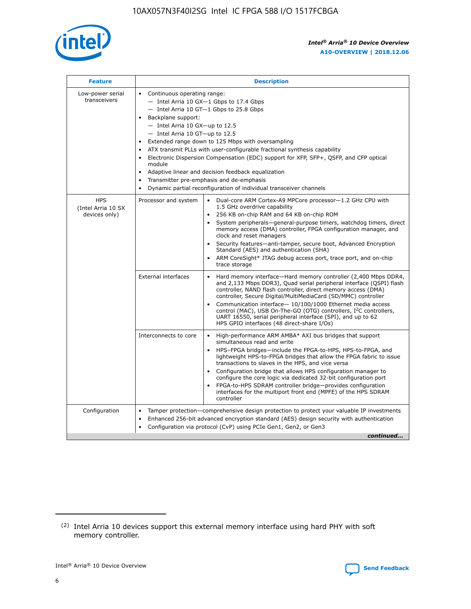

| <b>Feature</b>                                    | <b>Description</b>                                                                                                                                                                                                                                                                                                                                                                                                                                                                                                                                                                                                                           |  |  |  |  |  |  |
|---------------------------------------------------|----------------------------------------------------------------------------------------------------------------------------------------------------------------------------------------------------------------------------------------------------------------------------------------------------------------------------------------------------------------------------------------------------------------------------------------------------------------------------------------------------------------------------------------------------------------------------------------------------------------------------------------------|--|--|--|--|--|--|
| Low-power serial<br>transceivers                  | • Continuous operating range:<br>- Intel Arria 10 GX-1 Gbps to 17.4 Gbps<br>- Intel Arria 10 GT-1 Gbps to 25.8 Gbps<br>Backplane support:<br>$-$ Intel Arria 10 GX-up to 12.5<br>$-$ Intel Arria 10 GT-up to 12.5<br>Extended range down to 125 Mbps with oversampling<br>ATX transmit PLLs with user-configurable fractional synthesis capability<br>Electronic Dispersion Compensation (EDC) support for XFP, SFP+, QSFP, and CFP optical<br>module<br>• Adaptive linear and decision feedback equalization<br>Transmitter pre-emphasis and de-emphasis<br>$\bullet$<br>Dynamic partial reconfiguration of individual transceiver channels |  |  |  |  |  |  |
| <b>HPS</b><br>(Intel Arria 10 SX<br>devices only) | Dual-core ARM Cortex-A9 MPCore processor-1.2 GHz CPU with<br>Processor and system<br>$\bullet$<br>1.5 GHz overdrive capability<br>256 KB on-chip RAM and 64 KB on-chip ROM<br>System peripherals-general-purpose timers, watchdog timers, direct<br>memory access (DMA) controller, FPGA configuration manager, and<br>clock and reset managers<br>Security features-anti-tamper, secure boot, Advanced Encryption<br>$\bullet$<br>Standard (AES) and authentication (SHA)<br>ARM CoreSight* JTAG debug access port, trace port, and on-chip<br>trace storage                                                                                |  |  |  |  |  |  |
|                                                   | <b>External interfaces</b><br>Hard memory interface-Hard memory controller (2,400 Mbps DDR4,<br>$\bullet$<br>and 2,133 Mbps DDR3), Quad serial peripheral interface (QSPI) flash<br>controller, NAND flash controller, direct memory access (DMA)<br>controller, Secure Digital/MultiMediaCard (SD/MMC) controller<br>Communication interface-10/100/1000 Ethernet media access<br>$\bullet$<br>control (MAC), USB On-The-GO (OTG) controllers, I <sup>2</sup> C controllers,<br>UART 16550, serial peripheral interface (SPI), and up to 62<br>HPS GPIO interfaces (48 direct-share I/Os)                                                   |  |  |  |  |  |  |
|                                                   | High-performance ARM AMBA* AXI bus bridges that support<br>Interconnects to core<br>$\bullet$<br>simultaneous read and write<br>HPS-FPGA bridges-include the FPGA-to-HPS, HPS-to-FPGA, and<br>$\bullet$<br>lightweight HPS-to-FPGA bridges that allow the FPGA fabric to issue<br>transactions to slaves in the HPS, and vice versa<br>Configuration bridge that allows HPS configuration manager to<br>configure the core logic via dedicated 32-bit configuration port<br>FPGA-to-HPS SDRAM controller bridge-provides configuration<br>interfaces for the multiport front end (MPFE) of the HPS SDRAM<br>controller                       |  |  |  |  |  |  |
| Configuration                                     | Tamper protection—comprehensive design protection to protect your valuable IP investments<br>Enhanced 256-bit advanced encryption standard (AES) design security with authentication<br>٠<br>Configuration via protocol (CvP) using PCIe Gen1, Gen2, or Gen3<br>continued                                                                                                                                                                                                                                                                                                                                                                    |  |  |  |  |  |  |

<sup>(2)</sup> Intel Arria 10 devices support this external memory interface using hard PHY with soft memory controller.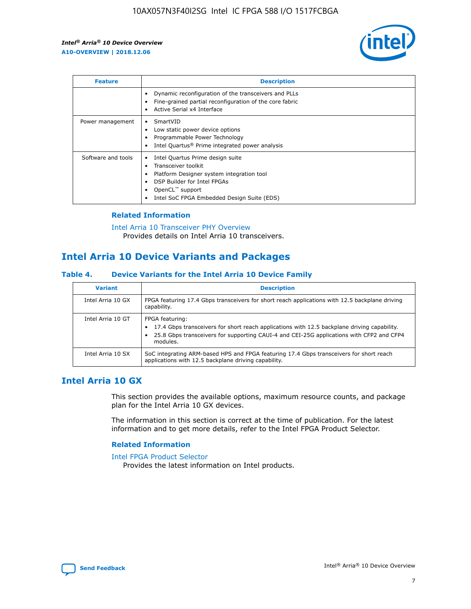

| <b>Feature</b>     | <b>Description</b>                                                                                                                                                                                               |
|--------------------|------------------------------------------------------------------------------------------------------------------------------------------------------------------------------------------------------------------|
|                    | Dynamic reconfiguration of the transceivers and PLLs<br>Fine-grained partial reconfiguration of the core fabric<br>Active Serial x4 Interface<br>$\bullet$                                                       |
| Power management   | SmartVID<br>Low static power device options<br>Programmable Power Technology<br>Intel Quartus <sup>®</sup> Prime integrated power analysis                                                                       |
| Software and tools | Intel Quartus Prime design suite<br>Transceiver toolkit<br>Platform Designer system integration tool<br>DSP Builder for Intel FPGAs<br>OpenCL <sup>™</sup> support<br>Intel SoC FPGA Embedded Design Suite (EDS) |

## **Related Information**

[Intel Arria 10 Transceiver PHY Overview](https://www.intel.com/content/www/us/en/programmable/documentation/nik1398707230472.html#nik1398706768037) Provides details on Intel Arria 10 transceivers.

# **Intel Arria 10 Device Variants and Packages**

#### **Table 4. Device Variants for the Intel Arria 10 Device Family**

| <b>Variant</b>    | <b>Description</b>                                                                                                                                                                                                     |
|-------------------|------------------------------------------------------------------------------------------------------------------------------------------------------------------------------------------------------------------------|
| Intel Arria 10 GX | FPGA featuring 17.4 Gbps transceivers for short reach applications with 12.5 backplane driving<br>capability.                                                                                                          |
| Intel Arria 10 GT | FPGA featuring:<br>17.4 Gbps transceivers for short reach applications with 12.5 backplane driving capability.<br>25.8 Gbps transceivers for supporting CAUI-4 and CEI-25G applications with CFP2 and CFP4<br>modules. |
| Intel Arria 10 SX | SoC integrating ARM-based HPS and FPGA featuring 17.4 Gbps transceivers for short reach<br>applications with 12.5 backplane driving capability.                                                                        |

# **Intel Arria 10 GX**

This section provides the available options, maximum resource counts, and package plan for the Intel Arria 10 GX devices.

The information in this section is correct at the time of publication. For the latest information and to get more details, refer to the Intel FPGA Product Selector.

#### **Related Information**

#### [Intel FPGA Product Selector](http://www.altera.com/products/selector/psg-selector.html) Provides the latest information on Intel products.

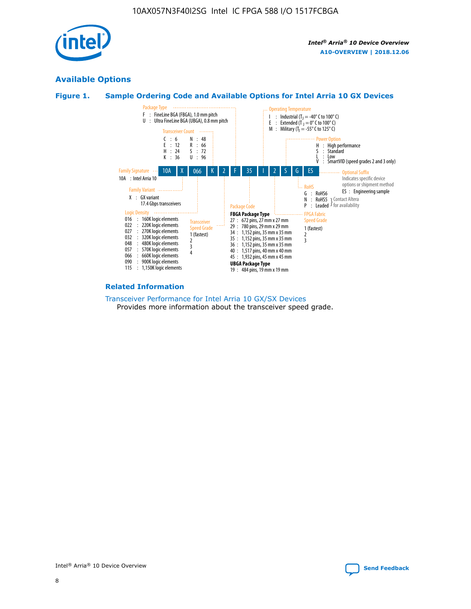

# **Available Options**





#### **Related Information**

[Transceiver Performance for Intel Arria 10 GX/SX Devices](https://www.intel.com/content/www/us/en/programmable/documentation/mcn1413182292568.html#mcn1413213965502) Provides more information about the transceiver speed grade.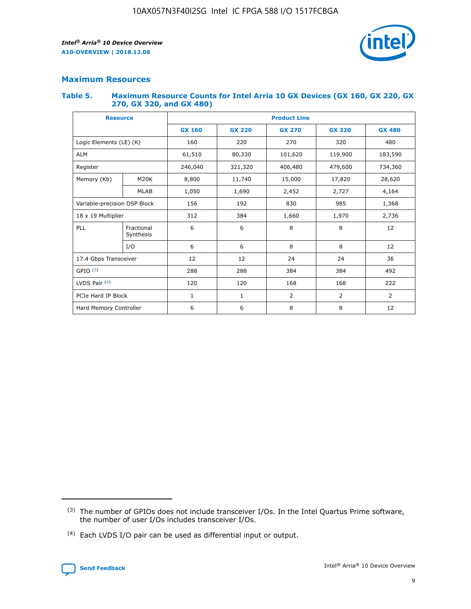

# **Maximum Resources**

#### **Table 5. Maximum Resource Counts for Intel Arria 10 GX Devices (GX 160, GX 220, GX 270, GX 320, and GX 480)**

| <b>Resource</b>         |                              | <b>Product Line</b> |                                                 |                |                |                |  |  |
|-------------------------|------------------------------|---------------------|-------------------------------------------------|----------------|----------------|----------------|--|--|
|                         |                              | <b>GX 160</b>       | <b>GX 220</b><br><b>GX 270</b><br><b>GX 320</b> |                |                | <b>GX 480</b>  |  |  |
| Logic Elements (LE) (K) |                              | 160                 | 220                                             | 270            | 320            | 480            |  |  |
| <b>ALM</b>              |                              | 61,510              | 80,330                                          | 101,620        | 119,900        | 183,590        |  |  |
| Register                |                              | 246,040             | 321,320                                         | 406,480        | 479,600        | 734,360        |  |  |
| Memory (Kb)             | M <sub>20</sub> K            | 8,800               | 11,740                                          | 15,000         | 17,820         | 28,620         |  |  |
|                         | <b>MLAB</b>                  | 1,050               | 1,690                                           | 2,452          | 2,727          | 4,164          |  |  |
|                         | Variable-precision DSP Block |                     | 192                                             | 830<br>985     |                | 1,368          |  |  |
| 18 x 19 Multiplier      |                              | 312                 | 384                                             | 1,970<br>1,660 |                | 2,736          |  |  |
| PLL                     | Fractional<br>Synthesis      | 6                   | 6                                               | 8              | 8              | 12             |  |  |
|                         | I/O                          | 6                   | 6                                               | 8              | 8              | 12             |  |  |
| 17.4 Gbps Transceiver   |                              | 12                  | 12                                              | 24             | 24             | 36             |  |  |
| GPIO <sup>(3)</sup>     |                              | 288                 | 288                                             | 384            | 384            | 492            |  |  |
| LVDS Pair $(4)$         |                              | 120                 | 120                                             | 168            | 168            | 222            |  |  |
| PCIe Hard IP Block      |                              | 1                   | 1                                               | 2              | $\overline{2}$ | $\overline{2}$ |  |  |
| Hard Memory Controller  |                              | 6                   | 6                                               | 8              | 8              | 12             |  |  |

<sup>(4)</sup> Each LVDS I/O pair can be used as differential input or output.



<sup>(3)</sup> The number of GPIOs does not include transceiver I/Os. In the Intel Quartus Prime software, the number of user I/Os includes transceiver I/Os.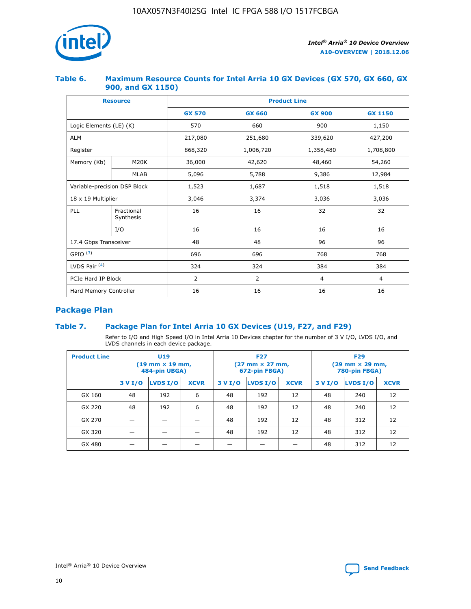

## **Table 6. Maximum Resource Counts for Intel Arria 10 GX Devices (GX 570, GX 660, GX 900, and GX 1150)**

|                              | <b>Resource</b>         | <b>Product Line</b> |                |                |                |  |  |  |
|------------------------------|-------------------------|---------------------|----------------|----------------|----------------|--|--|--|
|                              |                         | <b>GX 570</b>       | <b>GX 660</b>  | <b>GX 900</b>  | <b>GX 1150</b> |  |  |  |
| Logic Elements (LE) (K)      |                         | 570                 | 660            | 900            | 1,150          |  |  |  |
| <b>ALM</b>                   |                         | 217,080             | 251,680        | 339,620        | 427,200        |  |  |  |
| Register                     |                         | 868,320             | 1,006,720      | 1,358,480      | 1,708,800      |  |  |  |
| Memory (Kb)                  | <b>M20K</b>             | 36,000              | 42,620         | 48,460         | 54,260         |  |  |  |
|                              | <b>MLAB</b>             | 5,096               | 5,788<br>9,386 |                | 12,984         |  |  |  |
| Variable-precision DSP Block |                         | 1,523               | 1,687          | 1,518          | 1,518          |  |  |  |
|                              | 18 x 19 Multiplier      |                     | 3,374          | 3,036          | 3,036          |  |  |  |
| PLL                          | Fractional<br>Synthesis | 16                  | 16             | 32             | 32             |  |  |  |
|                              | I/O                     | 16                  | 16             | 16             | 16             |  |  |  |
| 17.4 Gbps Transceiver        |                         | 48                  | 48             | 96             | 96             |  |  |  |
| GPIO <sup>(3)</sup>          |                         | 696                 | 696            | 768            | 768            |  |  |  |
| LVDS Pair $(4)$              |                         | 324                 | 324<br>384     |                | 384            |  |  |  |
| PCIe Hard IP Block           |                         | 2                   | $\overline{2}$ | $\overline{4}$ | $\overline{4}$ |  |  |  |
| Hard Memory Controller       |                         | 16                  | 16             | 16             | 16             |  |  |  |

# **Package Plan**

# **Table 7. Package Plan for Intel Arria 10 GX Devices (U19, F27, and F29)**

Refer to I/O and High Speed I/O in Intel Arria 10 Devices chapter for the number of 3 V I/O, LVDS I/O, and LVDS channels in each device package.

| <b>Product Line</b> | U <sub>19</sub><br>$(19 \text{ mm} \times 19 \text{ mm})$<br>484-pin UBGA) |          |             |         | <b>F27</b><br>(27 mm × 27 mm,<br>672-pin FBGA) |             | <b>F29</b><br>(29 mm × 29 mm,<br>780-pin FBGA) |          |             |  |
|---------------------|----------------------------------------------------------------------------|----------|-------------|---------|------------------------------------------------|-------------|------------------------------------------------|----------|-------------|--|
|                     | 3 V I/O                                                                    | LVDS I/O | <b>XCVR</b> | 3 V I/O | LVDS I/O                                       | <b>XCVR</b> | 3 V I/O                                        | LVDS I/O | <b>XCVR</b> |  |
| GX 160              | 48                                                                         | 192      | 6           | 48      | 192                                            | 12          | 48                                             | 240      | 12          |  |
| GX 220              | 48                                                                         | 192      | 6           | 48      | 192                                            | 12          | 48                                             | 240      | 12          |  |
| GX 270              |                                                                            |          |             | 48      | 192                                            | 12          | 48                                             | 312      | 12          |  |
| GX 320              |                                                                            |          |             | 48      | 192                                            | 12          | 48                                             | 312      | 12          |  |
| GX 480              |                                                                            |          |             |         |                                                |             | 48                                             | 312      | 12          |  |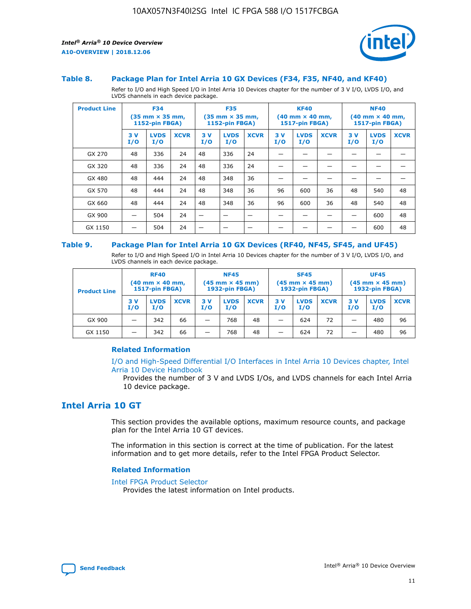

#### **Table 8. Package Plan for Intel Arria 10 GX Devices (F34, F35, NF40, and KF40)**

Refer to I/O and High Speed I/O in Intel Arria 10 Devices chapter for the number of 3 V I/O, LVDS I/O, and LVDS channels in each device package.

| <b>Product Line</b> | <b>F34</b><br>$(35 \text{ mm} \times 35 \text{ mm})$<br><b>1152-pin FBGA)</b> |                    | <b>F35</b><br>$(35 \text{ mm} \times 35 \text{ mm})$<br><b>1152-pin FBGA)</b> |           | <b>KF40</b><br>$(40$ mm $\times$ 40 mm,<br><b>1517-pin FBGA)</b> |             |           | <b>NF40</b><br>$(40 \text{ mm} \times 40 \text{ mm})$<br>1517-pin FBGA) |             |           |                    |             |
|---------------------|-------------------------------------------------------------------------------|--------------------|-------------------------------------------------------------------------------|-----------|------------------------------------------------------------------|-------------|-----------|-------------------------------------------------------------------------|-------------|-----------|--------------------|-------------|
|                     | 3V<br>I/O                                                                     | <b>LVDS</b><br>I/O | <b>XCVR</b>                                                                   | 3V<br>I/O | <b>LVDS</b><br>I/O                                               | <b>XCVR</b> | 3V<br>I/O | <b>LVDS</b><br>I/O                                                      | <b>XCVR</b> | 3V<br>I/O | <b>LVDS</b><br>I/O | <b>XCVR</b> |
| GX 270              | 48                                                                            | 336                | 24                                                                            | 48        | 336                                                              | 24          |           |                                                                         |             |           |                    |             |
| GX 320              | 48                                                                            | 336                | 24                                                                            | 48        | 336                                                              | 24          |           |                                                                         |             |           |                    |             |
| GX 480              | 48                                                                            | 444                | 24                                                                            | 48        | 348                                                              | 36          |           |                                                                         |             |           |                    |             |
| GX 570              | 48                                                                            | 444                | 24                                                                            | 48        | 348                                                              | 36          | 96        | 600                                                                     | 36          | 48        | 540                | 48          |
| GX 660              | 48                                                                            | 444                | 24                                                                            | 48        | 348                                                              | 36          | 96        | 600                                                                     | 36          | 48        | 540                | 48          |
| GX 900              |                                                                               | 504                | 24                                                                            | —         |                                                                  | -           |           |                                                                         |             |           | 600                | 48          |
| GX 1150             |                                                                               | 504                | 24                                                                            |           |                                                                  |             |           |                                                                         |             |           | 600                | 48          |

#### **Table 9. Package Plan for Intel Arria 10 GX Devices (RF40, NF45, SF45, and UF45)**

Refer to I/O and High Speed I/O in Intel Arria 10 Devices chapter for the number of 3 V I/O, LVDS I/O, and LVDS channels in each device package.

| <b>Product Line</b> | <b>RF40</b><br>$(40$ mm $\times$ 40 mm,<br>1517-pin FBGA) |                    | <b>NF45</b><br>$(45 \text{ mm} \times 45 \text{ mm})$<br><b>1932-pin FBGA)</b> |            |                    | <b>SF45</b><br>$(45 \text{ mm} \times 45 \text{ mm})$<br><b>1932-pin FBGA)</b> |            |                    | <b>UF45</b><br>$(45 \text{ mm} \times 45 \text{ mm})$<br><b>1932-pin FBGA)</b> |           |                    |             |
|---------------------|-----------------------------------------------------------|--------------------|--------------------------------------------------------------------------------|------------|--------------------|--------------------------------------------------------------------------------|------------|--------------------|--------------------------------------------------------------------------------|-----------|--------------------|-------------|
|                     | 3V<br>I/O                                                 | <b>LVDS</b><br>I/O | <b>XCVR</b>                                                                    | 3 V<br>I/O | <b>LVDS</b><br>I/O | <b>XCVR</b>                                                                    | 3 V<br>I/O | <b>LVDS</b><br>I/O | <b>XCVR</b>                                                                    | 3V<br>I/O | <b>LVDS</b><br>I/O | <b>XCVR</b> |
| GX 900              |                                                           | 342                | 66                                                                             | _          | 768                | 48                                                                             |            | 624                | 72                                                                             |           | 480                | 96          |
| GX 1150             |                                                           | 342                | 66                                                                             | _          | 768                | 48                                                                             |            | 624                | 72                                                                             |           | 480                | 96          |

#### **Related Information**

[I/O and High-Speed Differential I/O Interfaces in Intel Arria 10 Devices chapter, Intel](https://www.intel.com/content/www/us/en/programmable/documentation/sam1403482614086.html#sam1403482030321) [Arria 10 Device Handbook](https://www.intel.com/content/www/us/en/programmable/documentation/sam1403482614086.html#sam1403482030321)

Provides the number of 3 V and LVDS I/Os, and LVDS channels for each Intel Arria 10 device package.

# **Intel Arria 10 GT**

This section provides the available options, maximum resource counts, and package plan for the Intel Arria 10 GT devices.

The information in this section is correct at the time of publication. For the latest information and to get more details, refer to the Intel FPGA Product Selector.

#### **Related Information**

#### [Intel FPGA Product Selector](http://www.altera.com/products/selector/psg-selector.html)

Provides the latest information on Intel products.

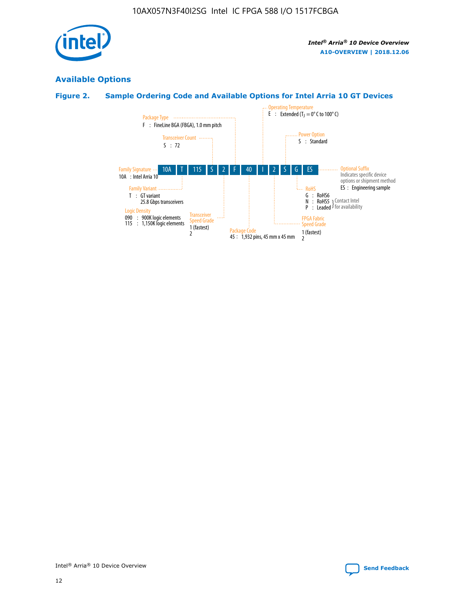

# **Available Options**

# **Figure 2. Sample Ordering Code and Available Options for Intel Arria 10 GT Devices**

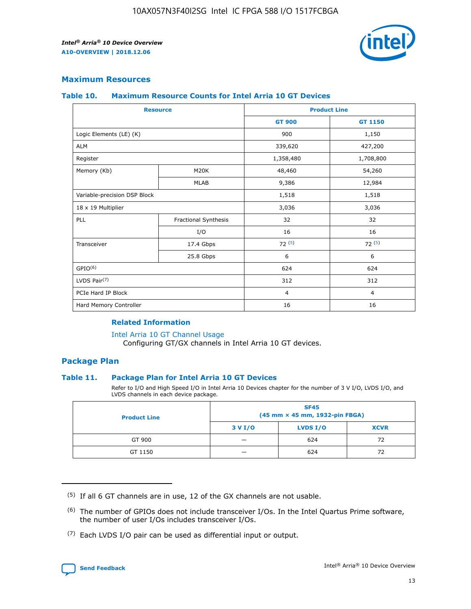

# **Maximum Resources**

#### **Table 10. Maximum Resource Counts for Intel Arria 10 GT Devices**

|                              | <b>Resource</b>      | <b>Product Line</b> |                |  |
|------------------------------|----------------------|---------------------|----------------|--|
|                              |                      | <b>GT 900</b>       | GT 1150        |  |
| Logic Elements (LE) (K)      |                      | 900                 | 1,150          |  |
| <b>ALM</b>                   |                      | 339,620             | 427,200        |  |
| Register                     |                      | 1,358,480           | 1,708,800      |  |
| Memory (Kb)                  | M20K                 | 48,460              | 54,260         |  |
|                              | <b>MLAB</b>          | 9,386               | 12,984         |  |
| Variable-precision DSP Block |                      | 1,518               | 1,518          |  |
| 18 x 19 Multiplier           |                      | 3,036               | 3,036          |  |
| PLL                          | Fractional Synthesis | 32                  | 32             |  |
|                              | I/O                  | 16                  | 16             |  |
| Transceiver                  | 17.4 Gbps            | 72(5)               | 72(5)          |  |
|                              | 25.8 Gbps            | 6                   | 6              |  |
| GPIO <sup>(6)</sup>          |                      | 624                 | 624            |  |
| LVDS Pair $(7)$              |                      | 312                 | 312            |  |
| PCIe Hard IP Block           |                      | $\overline{4}$      | $\overline{4}$ |  |
| Hard Memory Controller       |                      | 16                  | 16             |  |

#### **Related Information**

#### [Intel Arria 10 GT Channel Usage](https://www.intel.com/content/www/us/en/programmable/documentation/nik1398707230472.html#nik1398707008178)

Configuring GT/GX channels in Intel Arria 10 GT devices.

## **Package Plan**

#### **Table 11. Package Plan for Intel Arria 10 GT Devices**

Refer to I/O and High Speed I/O in Intel Arria 10 Devices chapter for the number of 3 V I/O, LVDS I/O, and LVDS channels in each device package.

| <b>Product Line</b> | <b>SF45</b><br>(45 mm × 45 mm, 1932-pin FBGA) |                 |             |  |  |  |
|---------------------|-----------------------------------------------|-----------------|-------------|--|--|--|
|                     | 3 V I/O                                       | <b>LVDS I/O</b> | <b>XCVR</b> |  |  |  |
| GT 900              |                                               | 624             | 72          |  |  |  |
| GT 1150             |                                               | 624             | 72          |  |  |  |

<sup>(7)</sup> Each LVDS I/O pair can be used as differential input or output.



 $(5)$  If all 6 GT channels are in use, 12 of the GX channels are not usable.

<sup>(6)</sup> The number of GPIOs does not include transceiver I/Os. In the Intel Quartus Prime software, the number of user I/Os includes transceiver I/Os.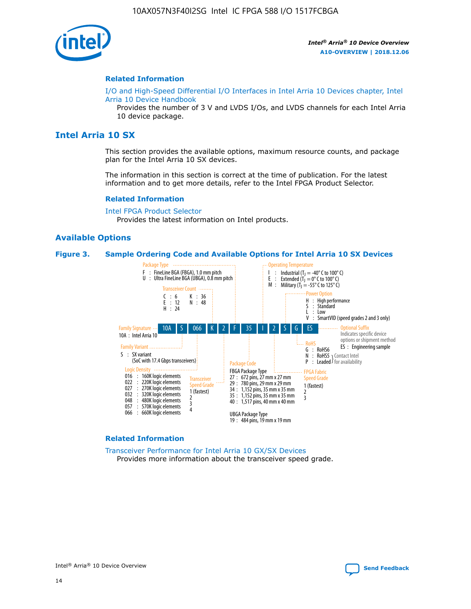

#### **Related Information**

[I/O and High-Speed Differential I/O Interfaces in Intel Arria 10 Devices chapter, Intel](https://www.intel.com/content/www/us/en/programmable/documentation/sam1403482614086.html#sam1403482030321) [Arria 10 Device Handbook](https://www.intel.com/content/www/us/en/programmable/documentation/sam1403482614086.html#sam1403482030321)

Provides the number of 3 V and LVDS I/Os, and LVDS channels for each Intel Arria 10 device package.

# **Intel Arria 10 SX**

This section provides the available options, maximum resource counts, and package plan for the Intel Arria 10 SX devices.

The information in this section is correct at the time of publication. For the latest information and to get more details, refer to the Intel FPGA Product Selector.

#### **Related Information**

[Intel FPGA Product Selector](http://www.altera.com/products/selector/psg-selector.html) Provides the latest information on Intel products.

#### **Available Options**

#### **Figure 3. Sample Ordering Code and Available Options for Intel Arria 10 SX Devices**



#### **Related Information**

[Transceiver Performance for Intel Arria 10 GX/SX Devices](https://www.intel.com/content/www/us/en/programmable/documentation/mcn1413182292568.html#mcn1413213965502) Provides more information about the transceiver speed grade.

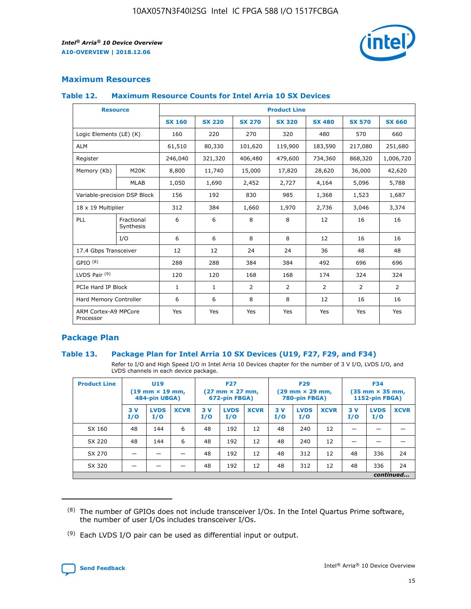

# **Maximum Resources**

#### **Table 12. Maximum Resource Counts for Intel Arria 10 SX Devices**

| <b>Resource</b>                   |                         | <b>Product Line</b> |               |                |                |                |                |                |  |  |  |
|-----------------------------------|-------------------------|---------------------|---------------|----------------|----------------|----------------|----------------|----------------|--|--|--|
|                                   |                         | <b>SX 160</b>       | <b>SX 220</b> | <b>SX 270</b>  | <b>SX 320</b>  | <b>SX 480</b>  | <b>SX 570</b>  | <b>SX 660</b>  |  |  |  |
| Logic Elements (LE) (K)           |                         | 160                 | 220           | 270            | 320            | 480            | 570            | 660            |  |  |  |
| <b>ALM</b>                        |                         | 61,510              | 80,330        | 101,620        | 119,900        | 183,590        | 217,080        | 251,680        |  |  |  |
| Register                          |                         | 246,040             | 321,320       | 406,480        | 479,600        | 734,360        | 868,320        | 1,006,720      |  |  |  |
| Memory (Kb)                       | M <sub>20</sub> K       | 8,800               | 11,740        | 15,000         | 17,820         | 28,620         | 36,000         | 42,620         |  |  |  |
|                                   | <b>MLAB</b>             | 1,050               | 1,690         | 2,452          | 2,727          | 4,164          | 5,096          | 5,788          |  |  |  |
| Variable-precision DSP Block      |                         | 156                 | 192           | 830            | 985            | 1,368          | 1,523          | 1,687          |  |  |  |
| 18 x 19 Multiplier                |                         | 312                 | 384           | 1,660          | 1,970          | 2,736          | 3,046          | 3,374          |  |  |  |
| PLL                               | Fractional<br>Synthesis | 6                   | 6             | 8              | 8              | 12             | 16             | 16             |  |  |  |
|                                   | I/O                     | 6                   | 6             | 8              | 8              | 12             | 16             | 16             |  |  |  |
| 17.4 Gbps Transceiver             |                         | 12                  | 12            | 24             | 24             | 36             | 48             | 48             |  |  |  |
| GPIO <sup>(8)</sup>               |                         | 288                 | 288           | 384            | 384            | 492            | 696            | 696            |  |  |  |
| LVDS Pair $(9)$                   |                         | 120                 | 120           | 168            | 168            | 174            | 324            | 324            |  |  |  |
| PCIe Hard IP Block                |                         | $\mathbf{1}$        | $\mathbf{1}$  | $\overline{2}$ | $\overline{2}$ | $\overline{2}$ | $\overline{2}$ | $\overline{2}$ |  |  |  |
| Hard Memory Controller            |                         | 6                   | 6             | 8              | 8              | 12             | 16             | 16             |  |  |  |
| ARM Cortex-A9 MPCore<br>Processor |                         | Yes                 | Yes           | Yes            | Yes            | Yes            | Yes            | <b>Yes</b>     |  |  |  |

# **Package Plan**

#### **Table 13. Package Plan for Intel Arria 10 SX Devices (U19, F27, F29, and F34)**

Refer to I/O and High Speed I/O in Intel Arria 10 Devices chapter for the number of 3 V I/O, LVDS I/O, and LVDS channels in each device package.

| <b>Product Line</b> | <b>U19</b><br>$(19 \text{ mm} \times 19 \text{ mm})$<br>484-pin UBGA) |                    |             | <b>F27</b><br>$(27 \text{ mm} \times 27 \text{ mm})$<br>672-pin FBGA) |                    | <b>F29</b><br>$(29 \text{ mm} \times 29 \text{ mm})$<br>780-pin FBGA) |           |                    | <b>F34</b><br>$(35 \text{ mm} \times 35 \text{ mm})$<br><b>1152-pin FBGA)</b> |           |                    |             |
|---------------------|-----------------------------------------------------------------------|--------------------|-------------|-----------------------------------------------------------------------|--------------------|-----------------------------------------------------------------------|-----------|--------------------|-------------------------------------------------------------------------------|-----------|--------------------|-------------|
|                     | 3V<br>I/O                                                             | <b>LVDS</b><br>I/O | <b>XCVR</b> | 3V<br>I/O                                                             | <b>LVDS</b><br>I/O | <b>XCVR</b>                                                           | 3V<br>I/O | <b>LVDS</b><br>I/O | <b>XCVR</b>                                                                   | 3V<br>I/O | <b>LVDS</b><br>I/O | <b>XCVR</b> |
| SX 160              | 48                                                                    | 144                | 6           | 48                                                                    | 192                | 12                                                                    | 48        | 240                | 12                                                                            | -         |                    |             |
| SX 220              | 48                                                                    | 144                | 6           | 48                                                                    | 192                | 12                                                                    | 48        | 240                | 12                                                                            |           |                    |             |
| SX 270              |                                                                       |                    |             | 48                                                                    | 192                | 12                                                                    | 48        | 312                | 12                                                                            | 48        | 336                | 24          |
| SX 320              |                                                                       |                    |             | 48                                                                    | 192                | 12                                                                    | 48        | 312                | 12                                                                            | 48        | 336                | 24          |
|                     | continued                                                             |                    |             |                                                                       |                    |                                                                       |           |                    |                                                                               |           |                    |             |

 $(8)$  The number of GPIOs does not include transceiver I/Os. In the Intel Quartus Prime software, the number of user I/Os includes transceiver I/Os.

 $(9)$  Each LVDS I/O pair can be used as differential input or output.

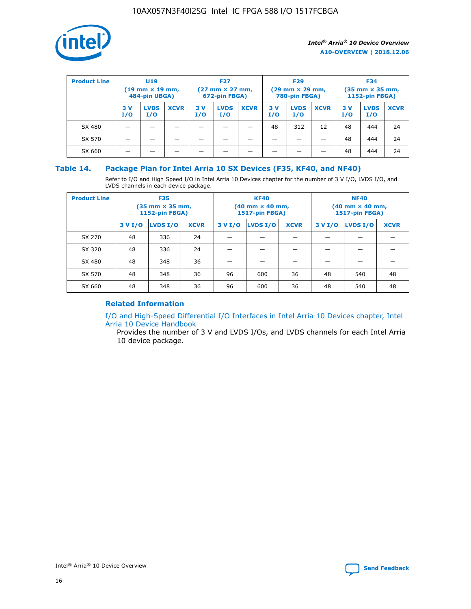

| <b>Product Line</b> | U <sub>19</sub><br>$(19 \text{ mm} \times 19 \text{ mm})$<br>484-pin UBGA) |                    | <b>F27</b><br>$(27 \text{ mm} \times 27 \text{ mm})$<br>672-pin FBGA) |           | <b>F29</b><br>$(29 \text{ mm} \times 29 \text{ mm})$<br>780-pin FBGA) |             |           | <b>F34</b><br>$(35$ mm $\times$ 35 mm,<br><b>1152-pin FBGA)</b> |             |           |                    |             |
|---------------------|----------------------------------------------------------------------------|--------------------|-----------------------------------------------------------------------|-----------|-----------------------------------------------------------------------|-------------|-----------|-----------------------------------------------------------------|-------------|-----------|--------------------|-------------|
|                     | 3V<br>I/O                                                                  | <b>LVDS</b><br>I/O | <b>XCVR</b>                                                           | 3V<br>I/O | <b>LVDS</b><br>I/O                                                    | <b>XCVR</b> | 3V<br>I/O | <b>LVDS</b><br>I/O                                              | <b>XCVR</b> | 3V<br>I/O | <b>LVDS</b><br>I/O | <b>XCVR</b> |
| SX 480              |                                                                            |                    |                                                                       |           |                                                                       |             | 48        | 312                                                             | 12          | 48        | 444                | 24          |
| SX 570              |                                                                            |                    |                                                                       |           |                                                                       |             |           |                                                                 |             | 48        | 444                | 24          |
| SX 660              |                                                                            |                    |                                                                       |           |                                                                       |             |           |                                                                 |             | 48        | 444                | 24          |

## **Table 14. Package Plan for Intel Arria 10 SX Devices (F35, KF40, and NF40)**

Refer to I/O and High Speed I/O in Intel Arria 10 Devices chapter for the number of 3 V I/O, LVDS I/O, and LVDS channels in each device package.

| <b>Product Line</b> | <b>F35</b><br>(35 mm × 35 mm,<br><b>1152-pin FBGA)</b> |          |             |                                           | <b>KF40</b><br>(40 mm × 40 mm,<br>1517-pin FBGA) |    | <b>NF40</b><br>$(40 \text{ mm} \times 40 \text{ mm})$<br>1517-pin FBGA) |          |             |  |
|---------------------|--------------------------------------------------------|----------|-------------|-------------------------------------------|--------------------------------------------------|----|-------------------------------------------------------------------------|----------|-------------|--|
|                     | 3 V I/O                                                | LVDS I/O | <b>XCVR</b> | <b>LVDS I/O</b><br>3 V I/O<br><b>XCVR</b> |                                                  |    | 3 V I/O                                                                 | LVDS I/O | <b>XCVR</b> |  |
| SX 270              | 48                                                     | 336      | 24          |                                           |                                                  |    |                                                                         |          |             |  |
| SX 320              | 48                                                     | 336      | 24          |                                           |                                                  |    |                                                                         |          |             |  |
| SX 480              | 48                                                     | 348      | 36          |                                           |                                                  |    |                                                                         |          |             |  |
| SX 570              | 48                                                     | 348      | 36          | 96                                        | 600                                              | 36 | 48                                                                      | 540      | 48          |  |
| SX 660              | 48                                                     | 348      | 36          | 96                                        | 600                                              | 36 | 48                                                                      | 540      | 48          |  |

# **Related Information**

[I/O and High-Speed Differential I/O Interfaces in Intel Arria 10 Devices chapter, Intel](https://www.intel.com/content/www/us/en/programmable/documentation/sam1403482614086.html#sam1403482030321) [Arria 10 Device Handbook](https://www.intel.com/content/www/us/en/programmable/documentation/sam1403482614086.html#sam1403482030321)

Provides the number of 3 V and LVDS I/Os, and LVDS channels for each Intel Arria 10 device package.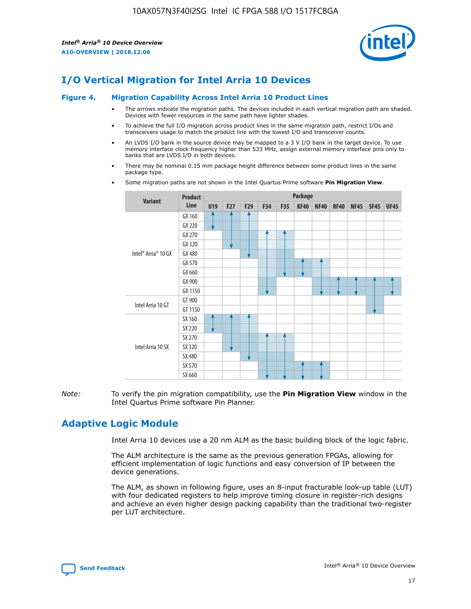

# **I/O Vertical Migration for Intel Arria 10 Devices**

#### **Figure 4. Migration Capability Across Intel Arria 10 Product Lines**

- The arrows indicate the migration paths. The devices included in each vertical migration path are shaded. Devices with fewer resources in the same path have lighter shades.
- To achieve the full I/O migration across product lines in the same migration path, restrict I/Os and transceivers usage to match the product line with the lowest I/O and transceiver counts.
- An LVDS I/O bank in the source device may be mapped to a 3 V I/O bank in the target device. To use memory interface clock frequency higher than 533 MHz, assign external memory interface pins only to banks that are LVDS I/O in both devices.
- There may be nominal 0.15 mm package height difference between some product lines in the same package type.
	- **Variant Product Line Package U19 F27 F29 F34 F35 KF40 NF40 RF40 NF45 SF45 UF45** Intel® Arria® 10 GX GX 160 GX 220 GX 270 GX 320 GX 480 GX 570 GX 660 GX 900 GX 1150 Intel Arria 10 GT GT 900 GT 1150 Intel Arria 10 SX SX 160 SX 220 SX 270 SX 320 SX 480 SX 570 SX 660
- Some migration paths are not shown in the Intel Quartus Prime software **Pin Migration View**.

*Note:* To verify the pin migration compatibility, use the **Pin Migration View** window in the Intel Quartus Prime software Pin Planner.

# **Adaptive Logic Module**

Intel Arria 10 devices use a 20 nm ALM as the basic building block of the logic fabric.

The ALM architecture is the same as the previous generation FPGAs, allowing for efficient implementation of logic functions and easy conversion of IP between the device generations.

The ALM, as shown in following figure, uses an 8-input fracturable look-up table (LUT) with four dedicated registers to help improve timing closure in register-rich designs and achieve an even higher design packing capability than the traditional two-register per LUT architecture.

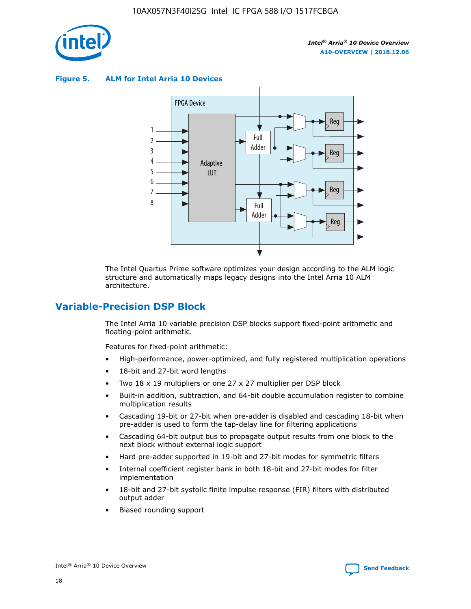

**Figure 5. ALM for Intel Arria 10 Devices**



The Intel Quartus Prime software optimizes your design according to the ALM logic structure and automatically maps legacy designs into the Intel Arria 10 ALM architecture.

# **Variable-Precision DSP Block**

The Intel Arria 10 variable precision DSP blocks support fixed-point arithmetic and floating-point arithmetic.

Features for fixed-point arithmetic:

- High-performance, power-optimized, and fully registered multiplication operations
- 18-bit and 27-bit word lengths
- Two 18 x 19 multipliers or one 27 x 27 multiplier per DSP block
- Built-in addition, subtraction, and 64-bit double accumulation register to combine multiplication results
- Cascading 19-bit or 27-bit when pre-adder is disabled and cascading 18-bit when pre-adder is used to form the tap-delay line for filtering applications
- Cascading 64-bit output bus to propagate output results from one block to the next block without external logic support
- Hard pre-adder supported in 19-bit and 27-bit modes for symmetric filters
- Internal coefficient register bank in both 18-bit and 27-bit modes for filter implementation
- 18-bit and 27-bit systolic finite impulse response (FIR) filters with distributed output adder
- Biased rounding support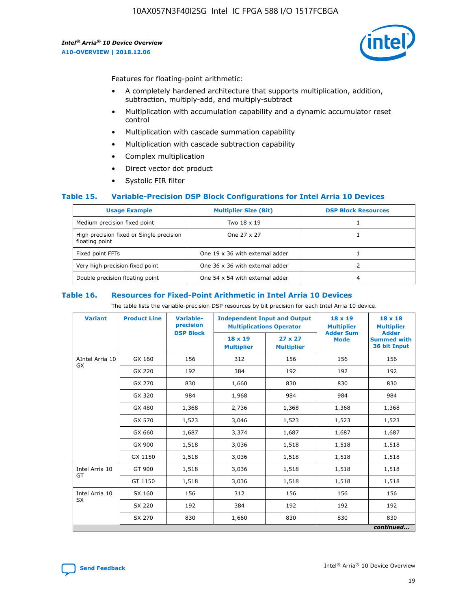

Features for floating-point arithmetic:

- A completely hardened architecture that supports multiplication, addition, subtraction, multiply-add, and multiply-subtract
- Multiplication with accumulation capability and a dynamic accumulator reset control
- Multiplication with cascade summation capability
- Multiplication with cascade subtraction capability
- Complex multiplication
- Direct vector dot product
- Systolic FIR filter

#### **Table 15. Variable-Precision DSP Block Configurations for Intel Arria 10 Devices**

| <b>Usage Example</b>                                       | <b>Multiplier Size (Bit)</b>    | <b>DSP Block Resources</b> |
|------------------------------------------------------------|---------------------------------|----------------------------|
| Medium precision fixed point                               | Two 18 x 19                     |                            |
| High precision fixed or Single precision<br>floating point | One 27 x 27                     |                            |
| Fixed point FFTs                                           | One 19 x 36 with external adder |                            |
| Very high precision fixed point                            | One 36 x 36 with external adder |                            |
| Double precision floating point                            | One 54 x 54 with external adder | 4                          |

#### **Table 16. Resources for Fixed-Point Arithmetic in Intel Arria 10 Devices**

The table lists the variable-precision DSP resources by bit precision for each Intel Arria 10 device.

| <b>Variant</b>  | <b>Product Line</b> | Variable-<br>precision<br><b>DSP Block</b> | <b>Independent Input and Output</b><br><b>Multiplications Operator</b> |                                     | 18 x 19<br><b>Multiplier</b><br><b>Adder Sum</b> | $18 \times 18$<br><b>Multiplier</b><br><b>Adder</b> |
|-----------------|---------------------|--------------------------------------------|------------------------------------------------------------------------|-------------------------------------|--------------------------------------------------|-----------------------------------------------------|
|                 |                     |                                            | 18 x 19<br><b>Multiplier</b>                                           | $27 \times 27$<br><b>Multiplier</b> | <b>Mode</b>                                      | <b>Summed with</b><br>36 bit Input                  |
| AIntel Arria 10 | GX 160              | 156                                        | 312                                                                    | 156                                 | 156                                              | 156                                                 |
| GX              | GX 220              | 192                                        | 384                                                                    | 192                                 | 192                                              | 192                                                 |
|                 | GX 270              | 830                                        | 1,660                                                                  | 830                                 | 830                                              | 830                                                 |
|                 | GX 320              | 984                                        | 1,968                                                                  | 984                                 | 984                                              | 984                                                 |
|                 | GX 480              | 1,368                                      | 2,736                                                                  | 1,368                               | 1,368                                            | 1,368                                               |
|                 | GX 570              | 1,523                                      | 3,046                                                                  | 1,523                               | 1,523                                            | 1,523                                               |
|                 | GX 660              | 1,687                                      | 3,374                                                                  | 1,687                               | 1,687                                            | 1,687                                               |
|                 | GX 900              | 1,518                                      | 3,036                                                                  | 1,518                               | 1,518                                            | 1,518                                               |
|                 | GX 1150             | 1,518                                      | 3,036                                                                  | 1,518                               | 1,518                                            | 1,518                                               |
| Intel Arria 10  | GT 900              | 1,518                                      | 3,036                                                                  | 1,518                               | 1,518                                            | 1,518                                               |
| GT              | GT 1150             | 1,518                                      | 3,036                                                                  | 1,518                               | 1,518                                            | 1,518                                               |
| Intel Arria 10  | SX 160              | 156                                        | 312                                                                    | 156                                 | 156                                              | 156                                                 |
| <b>SX</b>       | SX 220              | 192                                        | 384                                                                    | 192                                 | 192                                              | 192                                                 |
|                 | SX 270              | 830                                        | 1,660                                                                  | 830                                 | 830                                              | 830                                                 |
|                 |                     |                                            |                                                                        |                                     |                                                  | continued                                           |

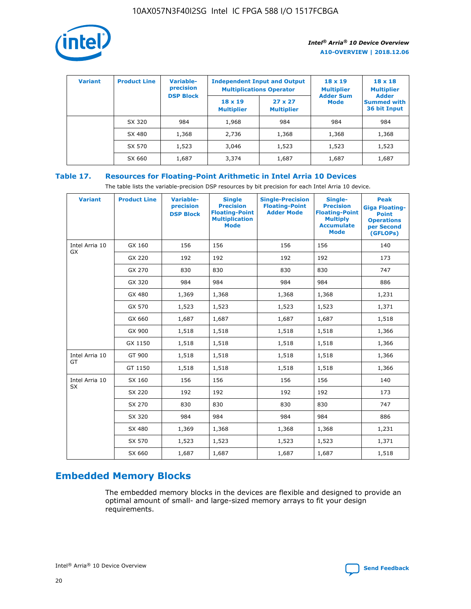

| <b>Variant</b> | <b>Product Line</b> | Variable-<br>precision | <b>Independent Input and Output</b><br><b>Multiplications Operator</b> |                                     | $18 \times 19$<br><b>Multiplier</b> | $18 \times 18$<br><b>Multiplier</b><br><b>Adder</b> |  |
|----------------|---------------------|------------------------|------------------------------------------------------------------------|-------------------------------------|-------------------------------------|-----------------------------------------------------|--|
|                |                     | <b>DSP Block</b>       | $18 \times 19$<br><b>Multiplier</b>                                    | $27 \times 27$<br><b>Multiplier</b> | <b>Adder Sum</b><br><b>Mode</b>     | <b>Summed with</b><br>36 bit Input                  |  |
|                | SX 320              | 984                    | 1,968                                                                  | 984                                 | 984                                 | 984                                                 |  |
|                | SX 480              | 1,368                  | 2,736                                                                  | 1,368                               | 1,368                               | 1,368                                               |  |
|                | SX 570              | 1,523                  | 3,046                                                                  | 1,523                               | 1,523                               | 1,523                                               |  |
|                | SX 660              | 1,687                  | 3,374                                                                  | 1,687                               | 1,687                               | 1,687                                               |  |

# **Table 17. Resources for Floating-Point Arithmetic in Intel Arria 10 Devices**

The table lists the variable-precision DSP resources by bit precision for each Intel Arria 10 device.

| <b>Variant</b> | <b>Product Line</b> | <b>Variable-</b><br>precision<br><b>DSP Block</b> | <b>Single</b><br><b>Precision</b><br><b>Floating-Point</b><br><b>Multiplication</b><br><b>Mode</b> | <b>Single-Precision</b><br><b>Floating-Point</b><br><b>Adder Mode</b> | Single-<br><b>Precision</b><br><b>Floating-Point</b><br><b>Multiply</b><br><b>Accumulate</b><br><b>Mode</b> | <b>Peak</b><br><b>Giga Floating-</b><br><b>Point</b><br><b>Operations</b><br>per Second<br>(GFLOPs) |
|----------------|---------------------|---------------------------------------------------|----------------------------------------------------------------------------------------------------|-----------------------------------------------------------------------|-------------------------------------------------------------------------------------------------------------|-----------------------------------------------------------------------------------------------------|
| Intel Arria 10 | GX 160              | 156                                               | 156                                                                                                | 156                                                                   | 156                                                                                                         | 140                                                                                                 |
| <b>GX</b>      | GX 220              | 192                                               | 192                                                                                                | 192                                                                   | 192                                                                                                         | 173                                                                                                 |
|                | GX 270              | 830                                               | 830                                                                                                | 830                                                                   | 830                                                                                                         | 747                                                                                                 |
|                | GX 320              | 984                                               | 984                                                                                                | 984                                                                   | 984                                                                                                         | 886                                                                                                 |
|                | GX 480              | 1,369                                             | 1,368                                                                                              | 1,368                                                                 | 1,368                                                                                                       | 1,231                                                                                               |
|                | GX 570              | 1,523                                             | 1,523                                                                                              | 1,523                                                                 | 1,523                                                                                                       | 1,371                                                                                               |
|                | GX 660              | 1,687                                             | 1,687                                                                                              | 1,687                                                                 | 1,687                                                                                                       | 1,518                                                                                               |
|                | GX 900              | 1,518                                             | 1,518                                                                                              | 1,518                                                                 | 1,518                                                                                                       | 1,366                                                                                               |
|                | GX 1150             | 1,518                                             | 1,518                                                                                              | 1,518                                                                 | 1,518                                                                                                       | 1,366                                                                                               |
| Intel Arria 10 | GT 900              | 1,518                                             | 1,518                                                                                              | 1,518                                                                 | 1,518                                                                                                       | 1,366                                                                                               |
| GT             | GT 1150             | 1,518                                             | 1,518                                                                                              | 1,518                                                                 | 1,518                                                                                                       | 1,366                                                                                               |
| Intel Arria 10 | SX 160              | 156                                               | 156                                                                                                | 156                                                                   | 156                                                                                                         | 140                                                                                                 |
| SX             | SX 220              | 192                                               | 192                                                                                                | 192                                                                   | 192                                                                                                         | 173                                                                                                 |
|                | SX 270              | 830                                               | 830                                                                                                | 830                                                                   | 830                                                                                                         | 747                                                                                                 |
|                | SX 320              | 984                                               | 984                                                                                                | 984                                                                   | 984                                                                                                         | 886                                                                                                 |
|                | SX 480              | 1,369                                             | 1,368                                                                                              | 1,368                                                                 | 1,368                                                                                                       | 1,231                                                                                               |
|                | SX 570              | 1,523                                             | 1,523                                                                                              | 1,523                                                                 | 1,523                                                                                                       | 1,371                                                                                               |
|                | SX 660              | 1,687                                             | 1,687                                                                                              | 1,687                                                                 | 1,687                                                                                                       | 1,518                                                                                               |

# **Embedded Memory Blocks**

The embedded memory blocks in the devices are flexible and designed to provide an optimal amount of small- and large-sized memory arrays to fit your design requirements.

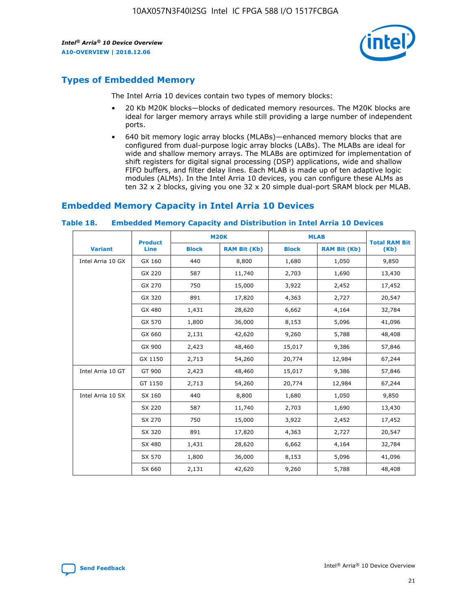

# **Types of Embedded Memory**

The Intel Arria 10 devices contain two types of memory blocks:

- 20 Kb M20K blocks—blocks of dedicated memory resources. The M20K blocks are ideal for larger memory arrays while still providing a large number of independent ports.
- 640 bit memory logic array blocks (MLABs)—enhanced memory blocks that are configured from dual-purpose logic array blocks (LABs). The MLABs are ideal for wide and shallow memory arrays. The MLABs are optimized for implementation of shift registers for digital signal processing (DSP) applications, wide and shallow FIFO buffers, and filter delay lines. Each MLAB is made up of ten adaptive logic modules (ALMs). In the Intel Arria 10 devices, you can configure these ALMs as ten 32 x 2 blocks, giving you one 32 x 20 simple dual-port SRAM block per MLAB.

# **Embedded Memory Capacity in Intel Arria 10 Devices**

|                   | <b>Product</b> |              | <b>M20K</b>         | <b>MLAB</b>  |                     | <b>Total RAM Bit</b> |
|-------------------|----------------|--------------|---------------------|--------------|---------------------|----------------------|
| <b>Variant</b>    | Line           | <b>Block</b> | <b>RAM Bit (Kb)</b> | <b>Block</b> | <b>RAM Bit (Kb)</b> | (Kb)                 |
| Intel Arria 10 GX | GX 160         | 440          | 8,800               | 1,680        | 1,050               | 9,850                |
|                   | GX 220         | 587          | 11,740              | 2,703        | 1,690               | 13,430               |
|                   | GX 270         | 750          | 15,000              | 3,922        | 2,452               | 17,452               |
|                   | GX 320         | 891          | 17,820              | 4,363        | 2,727               | 20,547               |
|                   | GX 480         | 1,431        | 28,620              | 6,662        | 4,164               | 32,784               |
|                   | GX 570         | 1,800        | 36,000              | 8,153        | 5,096               | 41,096               |
|                   | GX 660         | 2,131        | 42,620              | 9,260        | 5,788               | 48,408               |
|                   | GX 900         | 2,423        | 48,460              | 15,017       | 9,386               | 57,846               |
|                   | GX 1150        | 2,713        | 54,260              | 20,774       | 12,984              | 67,244               |
| Intel Arria 10 GT | GT 900         | 2,423        | 48,460              | 15,017       | 9,386               | 57,846               |
|                   | GT 1150        | 2,713        | 54,260              | 20,774       | 12,984              | 67,244               |
| Intel Arria 10 SX | SX 160         | 440          | 8,800               | 1,680        | 1,050               | 9,850                |
|                   | SX 220         | 587          | 11,740              | 2,703        | 1,690               | 13,430               |
|                   | SX 270         | 750          | 15,000              | 3,922        | 2,452               | 17,452               |
|                   | SX 320         | 891          | 17,820              | 4,363        | 2,727               | 20,547               |
|                   | SX 480         | 1,431        | 28,620              | 6,662        | 4,164               | 32,784               |
|                   | SX 570         | 1,800        | 36,000              | 8,153        | 5,096               | 41,096               |
|                   | SX 660         | 2,131        | 42,620              | 9,260        | 5,788               | 48,408               |

#### **Table 18. Embedded Memory Capacity and Distribution in Intel Arria 10 Devices**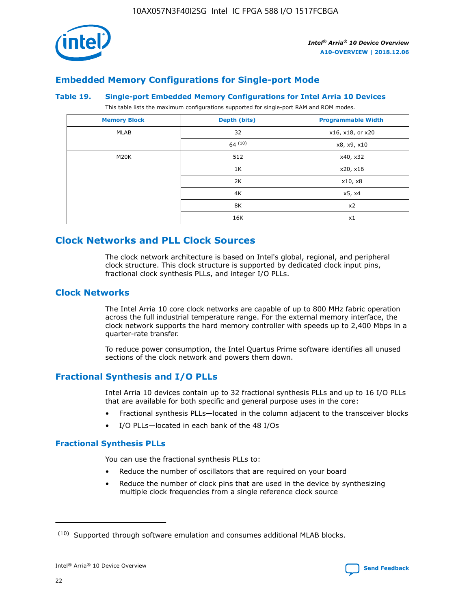

# **Embedded Memory Configurations for Single-port Mode**

#### **Table 19. Single-port Embedded Memory Configurations for Intel Arria 10 Devices**

This table lists the maximum configurations supported for single-port RAM and ROM modes.

| <b>Memory Block</b> | Depth (bits) | <b>Programmable Width</b> |
|---------------------|--------------|---------------------------|
| MLAB                | 32           | x16, x18, or x20          |
|                     | 64(10)       | x8, x9, x10               |
| M20K                | 512          | x40, x32                  |
|                     | 1K           | x20, x16                  |
|                     | 2K           | x10, x8                   |
|                     | 4K           | x5, x4                    |
|                     | 8K           | x2                        |
|                     | 16K          | x1                        |

# **Clock Networks and PLL Clock Sources**

The clock network architecture is based on Intel's global, regional, and peripheral clock structure. This clock structure is supported by dedicated clock input pins, fractional clock synthesis PLLs, and integer I/O PLLs.

# **Clock Networks**

The Intel Arria 10 core clock networks are capable of up to 800 MHz fabric operation across the full industrial temperature range. For the external memory interface, the clock network supports the hard memory controller with speeds up to 2,400 Mbps in a quarter-rate transfer.

To reduce power consumption, the Intel Quartus Prime software identifies all unused sections of the clock network and powers them down.

# **Fractional Synthesis and I/O PLLs**

Intel Arria 10 devices contain up to 32 fractional synthesis PLLs and up to 16 I/O PLLs that are available for both specific and general purpose uses in the core:

- Fractional synthesis PLLs—located in the column adjacent to the transceiver blocks
- I/O PLLs—located in each bank of the 48 I/Os

#### **Fractional Synthesis PLLs**

You can use the fractional synthesis PLLs to:

- Reduce the number of oscillators that are required on your board
- Reduce the number of clock pins that are used in the device by synthesizing multiple clock frequencies from a single reference clock source

<sup>(10)</sup> Supported through software emulation and consumes additional MLAB blocks.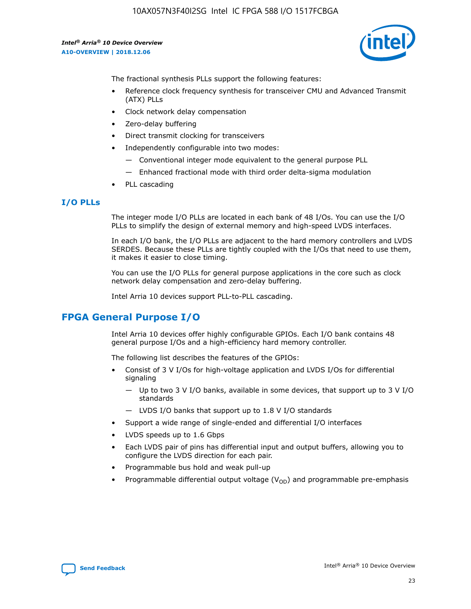

The fractional synthesis PLLs support the following features:

- Reference clock frequency synthesis for transceiver CMU and Advanced Transmit (ATX) PLLs
- Clock network delay compensation
- Zero-delay buffering
- Direct transmit clocking for transceivers
- Independently configurable into two modes:
	- Conventional integer mode equivalent to the general purpose PLL
	- Enhanced fractional mode with third order delta-sigma modulation
- PLL cascading

#### **I/O PLLs**

The integer mode I/O PLLs are located in each bank of 48 I/Os. You can use the I/O PLLs to simplify the design of external memory and high-speed LVDS interfaces.

In each I/O bank, the I/O PLLs are adjacent to the hard memory controllers and LVDS SERDES. Because these PLLs are tightly coupled with the I/Os that need to use them, it makes it easier to close timing.

You can use the I/O PLLs for general purpose applications in the core such as clock network delay compensation and zero-delay buffering.

Intel Arria 10 devices support PLL-to-PLL cascading.

# **FPGA General Purpose I/O**

Intel Arria 10 devices offer highly configurable GPIOs. Each I/O bank contains 48 general purpose I/Os and a high-efficiency hard memory controller.

The following list describes the features of the GPIOs:

- Consist of 3 V I/Os for high-voltage application and LVDS I/Os for differential signaling
	- Up to two 3 V I/O banks, available in some devices, that support up to 3 V I/O standards
	- LVDS I/O banks that support up to 1.8 V I/O standards
- Support a wide range of single-ended and differential I/O interfaces
- LVDS speeds up to 1.6 Gbps
- Each LVDS pair of pins has differential input and output buffers, allowing you to configure the LVDS direction for each pair.
- Programmable bus hold and weak pull-up
- Programmable differential output voltage  $(V_{OD})$  and programmable pre-emphasis

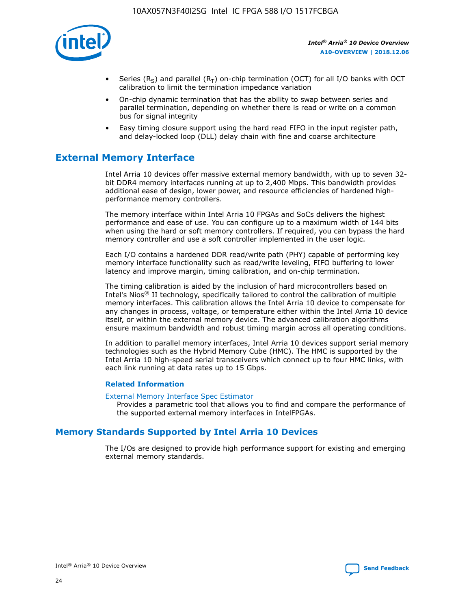

- Series (R<sub>S</sub>) and parallel (R<sub>T</sub>) on-chip termination (OCT) for all I/O banks with OCT calibration to limit the termination impedance variation
- On-chip dynamic termination that has the ability to swap between series and parallel termination, depending on whether there is read or write on a common bus for signal integrity
- Easy timing closure support using the hard read FIFO in the input register path, and delay-locked loop (DLL) delay chain with fine and coarse architecture

# **External Memory Interface**

Intel Arria 10 devices offer massive external memory bandwidth, with up to seven 32 bit DDR4 memory interfaces running at up to 2,400 Mbps. This bandwidth provides additional ease of design, lower power, and resource efficiencies of hardened highperformance memory controllers.

The memory interface within Intel Arria 10 FPGAs and SoCs delivers the highest performance and ease of use. You can configure up to a maximum width of 144 bits when using the hard or soft memory controllers. If required, you can bypass the hard memory controller and use a soft controller implemented in the user logic.

Each I/O contains a hardened DDR read/write path (PHY) capable of performing key memory interface functionality such as read/write leveling, FIFO buffering to lower latency and improve margin, timing calibration, and on-chip termination.

The timing calibration is aided by the inclusion of hard microcontrollers based on Intel's Nios® II technology, specifically tailored to control the calibration of multiple memory interfaces. This calibration allows the Intel Arria 10 device to compensate for any changes in process, voltage, or temperature either within the Intel Arria 10 device itself, or within the external memory device. The advanced calibration algorithms ensure maximum bandwidth and robust timing margin across all operating conditions.

In addition to parallel memory interfaces, Intel Arria 10 devices support serial memory technologies such as the Hybrid Memory Cube (HMC). The HMC is supported by the Intel Arria 10 high-speed serial transceivers which connect up to four HMC links, with each link running at data rates up to 15 Gbps.

#### **Related Information**

#### [External Memory Interface Spec Estimator](http://www.altera.com/technology/memory/estimator/mem-emif-index.html)

Provides a parametric tool that allows you to find and compare the performance of the supported external memory interfaces in IntelFPGAs.

# **Memory Standards Supported by Intel Arria 10 Devices**

The I/Os are designed to provide high performance support for existing and emerging external memory standards.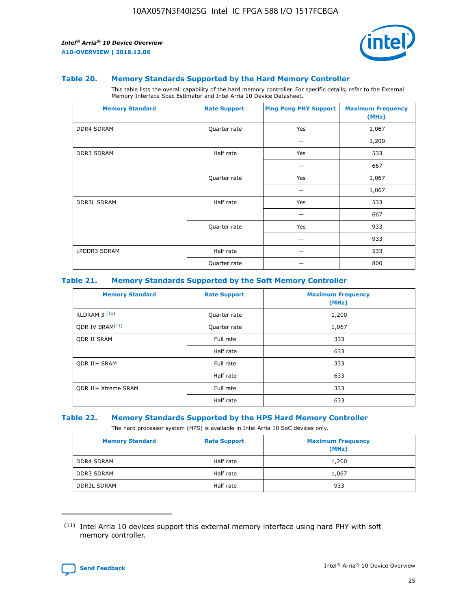

#### **Table 20. Memory Standards Supported by the Hard Memory Controller**

This table lists the overall capability of the hard memory controller. For specific details, refer to the External Memory Interface Spec Estimator and Intel Arria 10 Device Datasheet.

| <b>Memory Standard</b> | <b>Rate Support</b> | <b>Ping Pong PHY Support</b> | <b>Maximum Frequency</b><br>(MHz) |
|------------------------|---------------------|------------------------------|-----------------------------------|
| <b>DDR4 SDRAM</b>      | Quarter rate        | Yes                          | 1,067                             |
|                        |                     |                              | 1,200                             |
| DDR3 SDRAM             | Half rate           | Yes                          | 533                               |
|                        |                     |                              | 667                               |
|                        | Quarter rate        | Yes                          | 1,067                             |
|                        |                     |                              | 1,067                             |
| <b>DDR3L SDRAM</b>     | Half rate           | Yes                          | 533                               |
|                        |                     |                              | 667                               |
|                        | Quarter rate        | Yes                          | 933                               |
|                        |                     |                              | 933                               |
| LPDDR3 SDRAM           | Half rate           |                              | 533                               |
|                        | Quarter rate        |                              | 800                               |

#### **Table 21. Memory Standards Supported by the Soft Memory Controller**

| <b>Memory Standard</b>      | <b>Rate Support</b> | <b>Maximum Frequency</b><br>(MHz) |
|-----------------------------|---------------------|-----------------------------------|
| <b>RLDRAM 3 (11)</b>        | Quarter rate        | 1,200                             |
| ODR IV SRAM <sup>(11)</sup> | Quarter rate        | 1,067                             |
| <b>ODR II SRAM</b>          | Full rate           | 333                               |
|                             | Half rate           | 633                               |
| <b>ODR II+ SRAM</b>         | Full rate           | 333                               |
|                             | Half rate           | 633                               |
| <b>ODR II+ Xtreme SRAM</b>  | Full rate           | 333                               |
|                             | Half rate           | 633                               |

#### **Table 22. Memory Standards Supported by the HPS Hard Memory Controller**

The hard processor system (HPS) is available in Intel Arria 10 SoC devices only.

| <b>Memory Standard</b> | <b>Rate Support</b> | <b>Maximum Frequency</b><br>(MHz) |
|------------------------|---------------------|-----------------------------------|
| <b>DDR4 SDRAM</b>      | Half rate           | 1,200                             |
| <b>DDR3 SDRAM</b>      | Half rate           | 1,067                             |
| <b>DDR3L SDRAM</b>     | Half rate           | 933                               |

<sup>(11)</sup> Intel Arria 10 devices support this external memory interface using hard PHY with soft memory controller.

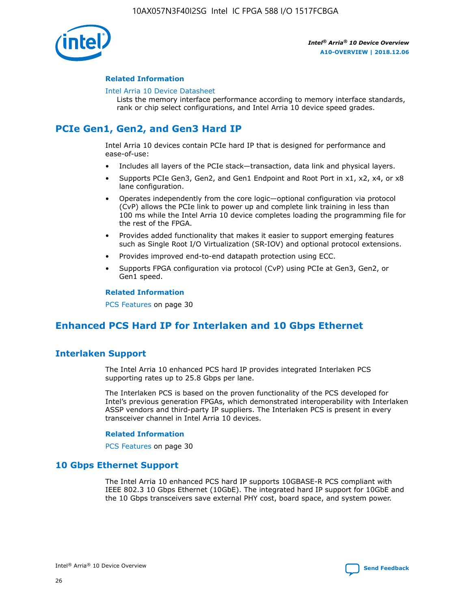

#### **Related Information**

#### [Intel Arria 10 Device Datasheet](https://www.intel.com/content/www/us/en/programmable/documentation/mcn1413182292568.html#mcn1413182153340)

Lists the memory interface performance according to memory interface standards, rank or chip select configurations, and Intel Arria 10 device speed grades.

# **PCIe Gen1, Gen2, and Gen3 Hard IP**

Intel Arria 10 devices contain PCIe hard IP that is designed for performance and ease-of-use:

- Includes all layers of the PCIe stack—transaction, data link and physical layers.
- Supports PCIe Gen3, Gen2, and Gen1 Endpoint and Root Port in x1, x2, x4, or x8 lane configuration.
- Operates independently from the core logic—optional configuration via protocol (CvP) allows the PCIe link to power up and complete link training in less than 100 ms while the Intel Arria 10 device completes loading the programming file for the rest of the FPGA.
- Provides added functionality that makes it easier to support emerging features such as Single Root I/O Virtualization (SR-IOV) and optional protocol extensions.
- Provides improved end-to-end datapath protection using ECC.
- Supports FPGA configuration via protocol (CvP) using PCIe at Gen3, Gen2, or Gen1 speed.

#### **Related Information**

PCS Features on page 30

# **Enhanced PCS Hard IP for Interlaken and 10 Gbps Ethernet**

# **Interlaken Support**

The Intel Arria 10 enhanced PCS hard IP provides integrated Interlaken PCS supporting rates up to 25.8 Gbps per lane.

The Interlaken PCS is based on the proven functionality of the PCS developed for Intel's previous generation FPGAs, which demonstrated interoperability with Interlaken ASSP vendors and third-party IP suppliers. The Interlaken PCS is present in every transceiver channel in Intel Arria 10 devices.

#### **Related Information**

PCS Features on page 30

# **10 Gbps Ethernet Support**

The Intel Arria 10 enhanced PCS hard IP supports 10GBASE-R PCS compliant with IEEE 802.3 10 Gbps Ethernet (10GbE). The integrated hard IP support for 10GbE and the 10 Gbps transceivers save external PHY cost, board space, and system power.

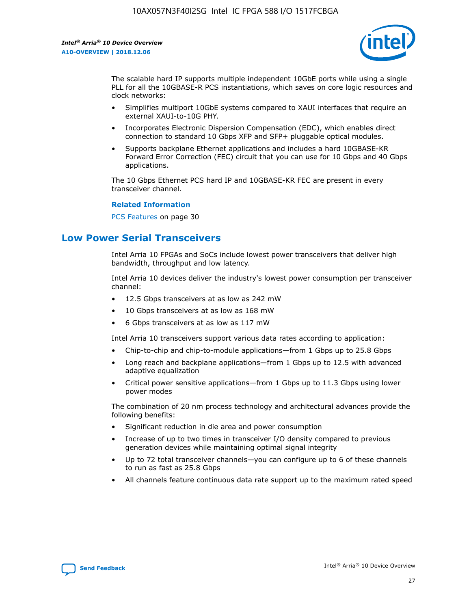

The scalable hard IP supports multiple independent 10GbE ports while using a single PLL for all the 10GBASE-R PCS instantiations, which saves on core logic resources and clock networks:

- Simplifies multiport 10GbE systems compared to XAUI interfaces that require an external XAUI-to-10G PHY.
- Incorporates Electronic Dispersion Compensation (EDC), which enables direct connection to standard 10 Gbps XFP and SFP+ pluggable optical modules.
- Supports backplane Ethernet applications and includes a hard 10GBASE-KR Forward Error Correction (FEC) circuit that you can use for 10 Gbps and 40 Gbps applications.

The 10 Gbps Ethernet PCS hard IP and 10GBASE-KR FEC are present in every transceiver channel.

#### **Related Information**

PCS Features on page 30

# **Low Power Serial Transceivers**

Intel Arria 10 FPGAs and SoCs include lowest power transceivers that deliver high bandwidth, throughput and low latency.

Intel Arria 10 devices deliver the industry's lowest power consumption per transceiver channel:

- 12.5 Gbps transceivers at as low as 242 mW
- 10 Gbps transceivers at as low as 168 mW
- 6 Gbps transceivers at as low as 117 mW

Intel Arria 10 transceivers support various data rates according to application:

- Chip-to-chip and chip-to-module applications—from 1 Gbps up to 25.8 Gbps
- Long reach and backplane applications—from 1 Gbps up to 12.5 with advanced adaptive equalization
- Critical power sensitive applications—from 1 Gbps up to 11.3 Gbps using lower power modes

The combination of 20 nm process technology and architectural advances provide the following benefits:

- Significant reduction in die area and power consumption
- Increase of up to two times in transceiver I/O density compared to previous generation devices while maintaining optimal signal integrity
- Up to 72 total transceiver channels—you can configure up to 6 of these channels to run as fast as 25.8 Gbps
- All channels feature continuous data rate support up to the maximum rated speed

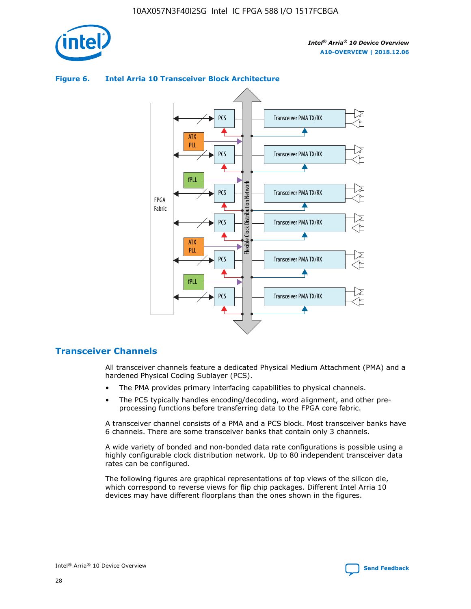

# Transceiver PMA TX/RX PCS ATX PLL Transceiver PMA TX/RX PCS fPLL Network Flexible Clock Distribution Network PCS Transceiver PMA TX/RX FPGA **Clock Distribution** Fabric PCS Transceiver PMA TX/RX ATX Flexible PLL PCS Transceiver PMA TX/RX ▲ fPLL Transceiver PMA TX/RX PCS 4

## **Figure 6. Intel Arria 10 Transceiver Block Architecture**

# **Transceiver Channels**

All transceiver channels feature a dedicated Physical Medium Attachment (PMA) and a hardened Physical Coding Sublayer (PCS).

- The PMA provides primary interfacing capabilities to physical channels.
- The PCS typically handles encoding/decoding, word alignment, and other preprocessing functions before transferring data to the FPGA core fabric.

A transceiver channel consists of a PMA and a PCS block. Most transceiver banks have 6 channels. There are some transceiver banks that contain only 3 channels.

A wide variety of bonded and non-bonded data rate configurations is possible using a highly configurable clock distribution network. Up to 80 independent transceiver data rates can be configured.

The following figures are graphical representations of top views of the silicon die, which correspond to reverse views for flip chip packages. Different Intel Arria 10 devices may have different floorplans than the ones shown in the figures.

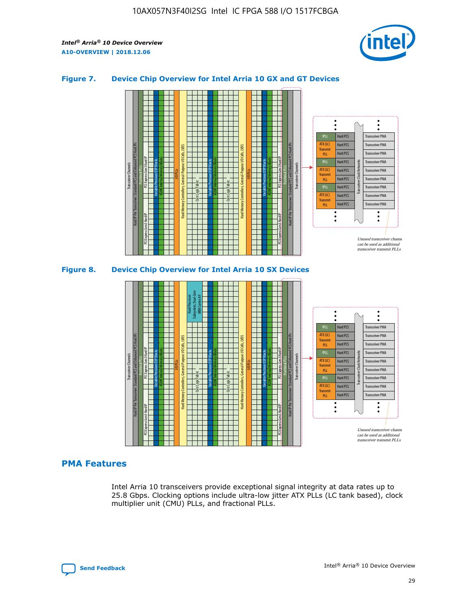

## **Figure 7. Device Chip Overview for Intel Arria 10 GX and GT Devices**



M20K Internal Memory Blocks Core Logic Fabric Transceiver Channels Hard IP Per Transceiver: Standard PCS and Enhanced PCS Hard IPs PCI Express Gen3 Hard IP Fractional PLLs M20K Internal Memory Blocks PCI Express Gen3 Hard IP Variable Precision DSP Blocks I/O PLLs Hard Memory Controllers, General-Purpose I/O Cells, LVDS Hard Processor Subsystem, Dual-Core ARM Cortex A9 M20K Internal Memory Blocks Variable Precision DSP Blocks M20K Internal Memory Blocks Core Logic Fabric I/O PLLs Hard Memory Controllers, General-Purpose I/O Cells, LVDS M20K Internal Memory Blocks Variable Precision DSP Blocks M20K Internal Memory Blocks Transceiver Channels Hard IP Per Transceiver: Standard PCS and Enhanced PCS Hard IPs PCI Express Gen3 Hard IP Fractional PLLs PCI Express Gen3 Hard IP  $\ddot{\cdot}$ Hard PCS Transceiver PMA fPLL ATX (LC) Hard PCS Transceiver PMA **Transmit** Hard PCS Transceiver PMA PLL fPLL Hard PCS Transceiver PMA Transceiver Clock Networks ATX (LC) Hard PCS Transceiver PMA Transmi Hard PCS Transceiver PMA PLL fPLL Hard PCS Transceiver PMA Transceiver PMA Hard PCS ATX (LC) **Transmit** Hard PCS Transceiver PMA PLL Unused transceiver chann can be used as additional transceiver transmit PLLs

# **PMA Features**

Intel Arria 10 transceivers provide exceptional signal integrity at data rates up to 25.8 Gbps. Clocking options include ultra-low jitter ATX PLLs (LC tank based), clock multiplier unit (CMU) PLLs, and fractional PLLs.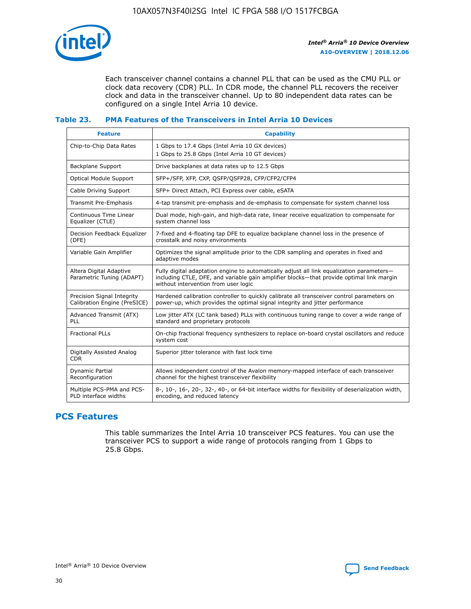

Each transceiver channel contains a channel PLL that can be used as the CMU PLL or clock data recovery (CDR) PLL. In CDR mode, the channel PLL recovers the receiver clock and data in the transceiver channel. Up to 80 independent data rates can be configured on a single Intel Arria 10 device.

## **Table 23. PMA Features of the Transceivers in Intel Arria 10 Devices**

| <b>Feature</b>                                             | <b>Capability</b>                                                                                                                                                                                                             |
|------------------------------------------------------------|-------------------------------------------------------------------------------------------------------------------------------------------------------------------------------------------------------------------------------|
| Chip-to-Chip Data Rates                                    | 1 Gbps to 17.4 Gbps (Intel Arria 10 GX devices)<br>1 Gbps to 25.8 Gbps (Intel Arria 10 GT devices)                                                                                                                            |
| Backplane Support                                          | Drive backplanes at data rates up to 12.5 Gbps                                                                                                                                                                                |
| Optical Module Support                                     | SFP+/SFP, XFP, CXP, QSFP/QSFP28, CFP/CFP2/CFP4                                                                                                                                                                                |
| Cable Driving Support                                      | SFP+ Direct Attach, PCI Express over cable, eSATA                                                                                                                                                                             |
| Transmit Pre-Emphasis                                      | 4-tap transmit pre-emphasis and de-emphasis to compensate for system channel loss                                                                                                                                             |
| Continuous Time Linear<br>Equalizer (CTLE)                 | Dual mode, high-gain, and high-data rate, linear receive equalization to compensate for<br>system channel loss                                                                                                                |
| Decision Feedback Equalizer<br>(DFE)                       | 7-fixed and 4-floating tap DFE to equalize backplane channel loss in the presence of<br>crosstalk and noisy environments                                                                                                      |
| Variable Gain Amplifier                                    | Optimizes the signal amplitude prior to the CDR sampling and operates in fixed and<br>adaptive modes                                                                                                                          |
| Altera Digital Adaptive<br>Parametric Tuning (ADAPT)       | Fully digital adaptation engine to automatically adjust all link equalization parameters-<br>including CTLE, DFE, and variable gain amplifier blocks—that provide optimal link margin<br>without intervention from user logic |
| Precision Signal Integrity<br>Calibration Engine (PreSICE) | Hardened calibration controller to quickly calibrate all transceiver control parameters on<br>power-up, which provides the optimal signal integrity and jitter performance                                                    |
| Advanced Transmit (ATX)<br><b>PLL</b>                      | Low jitter ATX (LC tank based) PLLs with continuous tuning range to cover a wide range of<br>standard and proprietary protocols                                                                                               |
| <b>Fractional PLLs</b>                                     | On-chip fractional frequency synthesizers to replace on-board crystal oscillators and reduce<br>system cost                                                                                                                   |
| Digitally Assisted Analog<br><b>CDR</b>                    | Superior jitter tolerance with fast lock time                                                                                                                                                                                 |
| Dynamic Partial<br>Reconfiguration                         | Allows independent control of the Avalon memory-mapped interface of each transceiver<br>channel for the highest transceiver flexibility                                                                                       |
| Multiple PCS-PMA and PCS-<br>PLD interface widths          | 8-, 10-, 16-, 20-, 32-, 40-, or 64-bit interface widths for flexibility of deserialization width,<br>encoding, and reduced latency                                                                                            |

# **PCS Features**

This table summarizes the Intel Arria 10 transceiver PCS features. You can use the transceiver PCS to support a wide range of protocols ranging from 1 Gbps to 25.8 Gbps.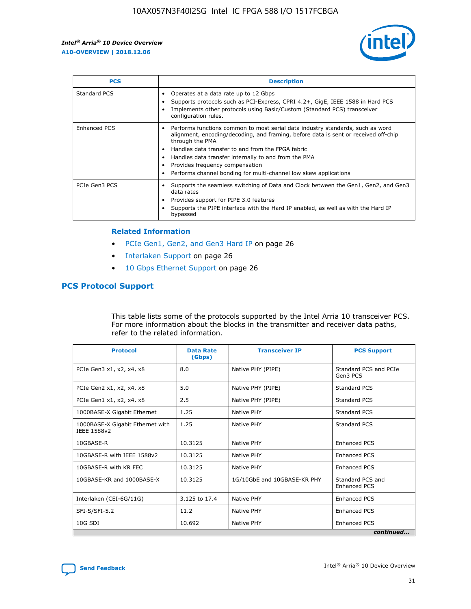

| <b>PCS</b>    | <b>Description</b>                                                                                                                                                                                                                                                                                                                                                                                             |
|---------------|----------------------------------------------------------------------------------------------------------------------------------------------------------------------------------------------------------------------------------------------------------------------------------------------------------------------------------------------------------------------------------------------------------------|
| Standard PCS  | Operates at a data rate up to 12 Gbps<br>Supports protocols such as PCI-Express, CPRI 4.2+, GigE, IEEE 1588 in Hard PCS<br>Implements other protocols using Basic/Custom (Standard PCS) transceiver<br>configuration rules.                                                                                                                                                                                    |
| Enhanced PCS  | Performs functions common to most serial data industry standards, such as word<br>alignment, encoding/decoding, and framing, before data is sent or received off-chip<br>through the PMA<br>• Handles data transfer to and from the FPGA fabric<br>Handles data transfer internally to and from the PMA<br>Provides frequency compensation<br>Performs channel bonding for multi-channel low skew applications |
| PCIe Gen3 PCS | Supports the seamless switching of Data and Clock between the Gen1, Gen2, and Gen3<br>data rates<br>Provides support for PIPE 3.0 features<br>Supports the PIPE interface with the Hard IP enabled, as well as with the Hard IP<br>bypassed                                                                                                                                                                    |

#### **Related Information**

- PCIe Gen1, Gen2, and Gen3 Hard IP on page 26
- Interlaken Support on page 26
- 10 Gbps Ethernet Support on page 26

# **PCS Protocol Support**

This table lists some of the protocols supported by the Intel Arria 10 transceiver PCS. For more information about the blocks in the transmitter and receiver data paths, refer to the related information.

| <b>Protocol</b>                                 | <b>Data Rate</b><br>(Gbps) | <b>Transceiver IP</b>       | <b>PCS Support</b>                      |
|-------------------------------------------------|----------------------------|-----------------------------|-----------------------------------------|
| PCIe Gen3 x1, x2, x4, x8                        | 8.0                        | Native PHY (PIPE)           | Standard PCS and PCIe<br>Gen3 PCS       |
| PCIe Gen2 x1, x2, x4, x8                        | 5.0                        | Native PHY (PIPE)           | <b>Standard PCS</b>                     |
| PCIe Gen1 x1, x2, x4, x8                        | 2.5                        | Native PHY (PIPE)           | Standard PCS                            |
| 1000BASE-X Gigabit Ethernet                     | 1.25                       | Native PHY                  | <b>Standard PCS</b>                     |
| 1000BASE-X Gigabit Ethernet with<br>IEEE 1588v2 | 1.25                       | Native PHY                  | Standard PCS                            |
| 10GBASE-R                                       | 10.3125                    | Native PHY                  | <b>Enhanced PCS</b>                     |
| 10GBASE-R with IEEE 1588v2                      | 10.3125                    | Native PHY                  | <b>Enhanced PCS</b>                     |
| 10GBASE-R with KR FEC                           | 10.3125                    | Native PHY                  | <b>Enhanced PCS</b>                     |
| 10GBASE-KR and 1000BASE-X                       | 10.3125                    | 1G/10GbE and 10GBASE-KR PHY | Standard PCS and<br><b>Enhanced PCS</b> |
| Interlaken (CEI-6G/11G)                         | 3.125 to 17.4              | Native PHY                  | <b>Enhanced PCS</b>                     |
| SFI-S/SFI-5.2                                   | 11.2                       | Native PHY                  | <b>Enhanced PCS</b>                     |
| $10G$ SDI                                       | 10.692                     | Native PHY                  | <b>Enhanced PCS</b>                     |
|                                                 |                            |                             | continued                               |

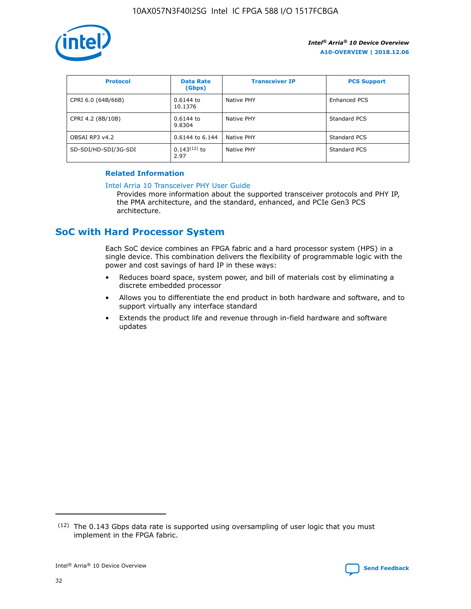

| <b>Protocol</b>      | <b>Data Rate</b><br>(Gbps) | <b>Transceiver IP</b> | <b>PCS Support</b> |
|----------------------|----------------------------|-----------------------|--------------------|
| CPRI 6.0 (64B/66B)   | 0.6144 to<br>10.1376       | Native PHY            | Enhanced PCS       |
| CPRI 4.2 (8B/10B)    | $0.6144$ to<br>9.8304      | Native PHY            | Standard PCS       |
| OBSAI RP3 v4.2       | 0.6144 to 6.144            | Native PHY            | Standard PCS       |
| SD-SDI/HD-SDI/3G-SDI | $0.143(12)$ to<br>2.97     | Native PHY            | Standard PCS       |

## **Related Information**

#### [Intel Arria 10 Transceiver PHY User Guide](https://www.intel.com/content/www/us/en/programmable/documentation/nik1398707230472.html#nik1398707091164)

Provides more information about the supported transceiver protocols and PHY IP, the PMA architecture, and the standard, enhanced, and PCIe Gen3 PCS architecture.

# **SoC with Hard Processor System**

Each SoC device combines an FPGA fabric and a hard processor system (HPS) in a single device. This combination delivers the flexibility of programmable logic with the power and cost savings of hard IP in these ways:

- Reduces board space, system power, and bill of materials cost by eliminating a discrete embedded processor
- Allows you to differentiate the end product in both hardware and software, and to support virtually any interface standard
- Extends the product life and revenue through in-field hardware and software updates

 $(12)$  The 0.143 Gbps data rate is supported using oversampling of user logic that you must implement in the FPGA fabric.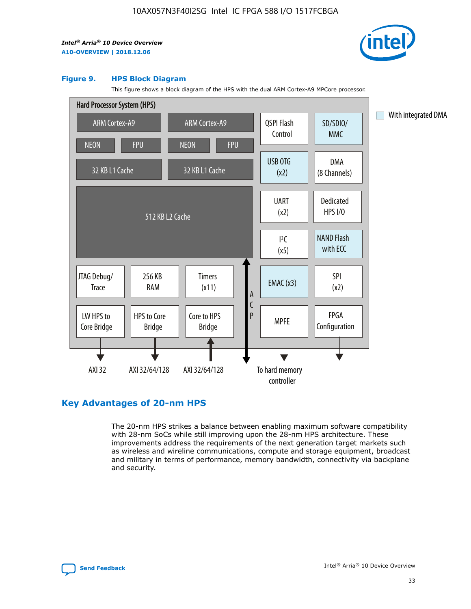

#### **Figure 9. HPS Block Diagram**

This figure shows a block diagram of the HPS with the dual ARM Cortex-A9 MPCore processor.



# **Key Advantages of 20-nm HPS**

The 20-nm HPS strikes a balance between enabling maximum software compatibility with 28-nm SoCs while still improving upon the 28-nm HPS architecture. These improvements address the requirements of the next generation target markets such as wireless and wireline communications, compute and storage equipment, broadcast and military in terms of performance, memory bandwidth, connectivity via backplane and security.

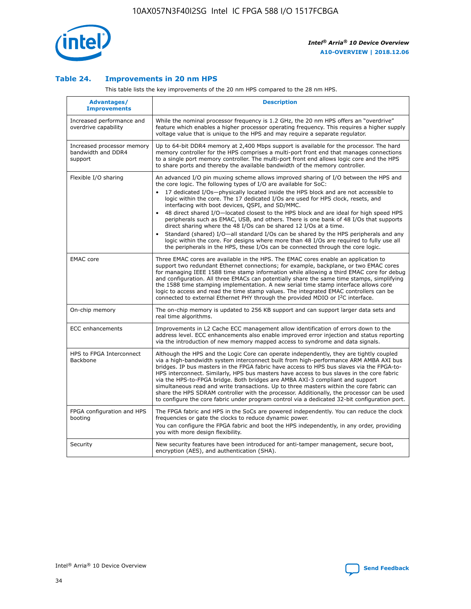

## **Table 24. Improvements in 20 nm HPS**

This table lists the key improvements of the 20 nm HPS compared to the 28 nm HPS.

| Advantages/<br><b>Improvements</b>                          | <b>Description</b>                                                                                                                                                                                                                                                                                                                                                                                                                                                                                                                                                                                                                                                                                                                                                                                                                                                                                                      |
|-------------------------------------------------------------|-------------------------------------------------------------------------------------------------------------------------------------------------------------------------------------------------------------------------------------------------------------------------------------------------------------------------------------------------------------------------------------------------------------------------------------------------------------------------------------------------------------------------------------------------------------------------------------------------------------------------------------------------------------------------------------------------------------------------------------------------------------------------------------------------------------------------------------------------------------------------------------------------------------------------|
| Increased performance and<br>overdrive capability           | While the nominal processor frequency is 1.2 GHz, the 20 nm HPS offers an "overdrive"<br>feature which enables a higher processor operating frequency. This requires a higher supply<br>voltage value that is unique to the HPS and may require a separate regulator.                                                                                                                                                                                                                                                                                                                                                                                                                                                                                                                                                                                                                                                   |
| Increased processor memory<br>bandwidth and DDR4<br>support | Up to 64-bit DDR4 memory at 2,400 Mbps support is available for the processor. The hard<br>memory controller for the HPS comprises a multi-port front end that manages connections<br>to a single port memory controller. The multi-port front end allows logic core and the HPS<br>to share ports and thereby the available bandwidth of the memory controller.                                                                                                                                                                                                                                                                                                                                                                                                                                                                                                                                                        |
| Flexible I/O sharing                                        | An advanced I/O pin muxing scheme allows improved sharing of I/O between the HPS and<br>the core logic. The following types of I/O are available for SoC:<br>17 dedicated I/Os-physically located inside the HPS block and are not accessible to<br>logic within the core. The 17 dedicated I/Os are used for HPS clock, resets, and<br>interfacing with boot devices, QSPI, and SD/MMC.<br>48 direct shared I/O-located closest to the HPS block and are ideal for high speed HPS<br>peripherals such as EMAC, USB, and others. There is one bank of 48 I/Os that supports<br>direct sharing where the 48 I/Os can be shared 12 I/Os at a time.<br>Standard (shared) I/O—all standard I/Os can be shared by the HPS peripherals and any<br>logic within the core. For designs where more than 48 I/Os are required to fully use all<br>the peripherals in the HPS, these I/Os can be connected through the core logic. |
| <b>EMAC</b> core                                            | Three EMAC cores are available in the HPS. The EMAC cores enable an application to<br>support two redundant Ethernet connections; for example, backplane, or two EMAC cores<br>for managing IEEE 1588 time stamp information while allowing a third EMAC core for debug<br>and configuration. All three EMACs can potentially share the same time stamps, simplifying<br>the 1588 time stamping implementation. A new serial time stamp interface allows core<br>logic to access and read the time stamp values. The integrated EMAC controllers can be<br>connected to external Ethernet PHY through the provided MDIO or I <sup>2</sup> C interface.                                                                                                                                                                                                                                                                  |
| On-chip memory                                              | The on-chip memory is updated to 256 KB support and can support larger data sets and<br>real time algorithms.                                                                                                                                                                                                                                                                                                                                                                                                                                                                                                                                                                                                                                                                                                                                                                                                           |
| <b>ECC</b> enhancements                                     | Improvements in L2 Cache ECC management allow identification of errors down to the<br>address level. ECC enhancements also enable improved error injection and status reporting<br>via the introduction of new memory mapped access to syndrome and data signals.                                                                                                                                                                                                                                                                                                                                                                                                                                                                                                                                                                                                                                                       |
| HPS to FPGA Interconnect<br>Backbone                        | Although the HPS and the Logic Core can operate independently, they are tightly coupled<br>via a high-bandwidth system interconnect built from high-performance ARM AMBA AXI bus<br>bridges. IP bus masters in the FPGA fabric have access to HPS bus slaves via the FPGA-to-<br>HPS interconnect. Similarly, HPS bus masters have access to bus slaves in the core fabric<br>via the HPS-to-FPGA bridge. Both bridges are AMBA AXI-3 compliant and support<br>simultaneous read and write transactions. Up to three masters within the core fabric can<br>share the HPS SDRAM controller with the processor. Additionally, the processor can be used<br>to configure the core fabric under program control via a dedicated 32-bit configuration port.                                                                                                                                                                  |
| FPGA configuration and HPS<br>booting                       | The FPGA fabric and HPS in the SoCs are powered independently. You can reduce the clock<br>frequencies or gate the clocks to reduce dynamic power.<br>You can configure the FPGA fabric and boot the HPS independently, in any order, providing<br>you with more design flexibility.                                                                                                                                                                                                                                                                                                                                                                                                                                                                                                                                                                                                                                    |
| Security                                                    | New security features have been introduced for anti-tamper management, secure boot,<br>encryption (AES), and authentication (SHA).                                                                                                                                                                                                                                                                                                                                                                                                                                                                                                                                                                                                                                                                                                                                                                                      |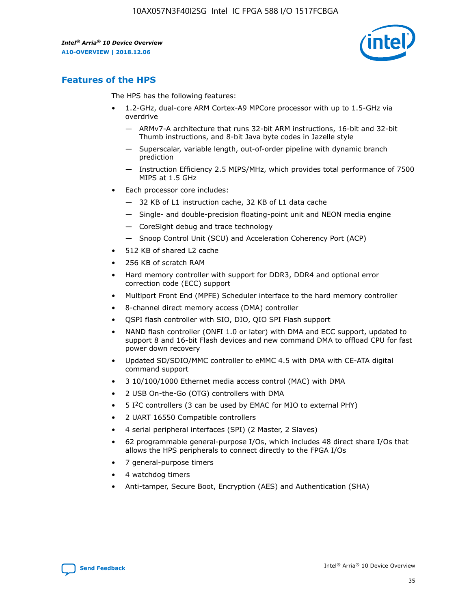

# **Features of the HPS**

The HPS has the following features:

- 1.2-GHz, dual-core ARM Cortex-A9 MPCore processor with up to 1.5-GHz via overdrive
	- ARMv7-A architecture that runs 32-bit ARM instructions, 16-bit and 32-bit Thumb instructions, and 8-bit Java byte codes in Jazelle style
	- Superscalar, variable length, out-of-order pipeline with dynamic branch prediction
	- Instruction Efficiency 2.5 MIPS/MHz, which provides total performance of 7500 MIPS at 1.5 GHz
- Each processor core includes:
	- 32 KB of L1 instruction cache, 32 KB of L1 data cache
	- Single- and double-precision floating-point unit and NEON media engine
	- CoreSight debug and trace technology
	- Snoop Control Unit (SCU) and Acceleration Coherency Port (ACP)
- 512 KB of shared L2 cache
- 256 KB of scratch RAM
- Hard memory controller with support for DDR3, DDR4 and optional error correction code (ECC) support
- Multiport Front End (MPFE) Scheduler interface to the hard memory controller
- 8-channel direct memory access (DMA) controller
- QSPI flash controller with SIO, DIO, QIO SPI Flash support
- NAND flash controller (ONFI 1.0 or later) with DMA and ECC support, updated to support 8 and 16-bit Flash devices and new command DMA to offload CPU for fast power down recovery
- Updated SD/SDIO/MMC controller to eMMC 4.5 with DMA with CE-ATA digital command support
- 3 10/100/1000 Ethernet media access control (MAC) with DMA
- 2 USB On-the-Go (OTG) controllers with DMA
- $\bullet$  5 I<sup>2</sup>C controllers (3 can be used by EMAC for MIO to external PHY)
- 2 UART 16550 Compatible controllers
- 4 serial peripheral interfaces (SPI) (2 Master, 2 Slaves)
- 62 programmable general-purpose I/Os, which includes 48 direct share I/Os that allows the HPS peripherals to connect directly to the FPGA I/Os
- 7 general-purpose timers
- 4 watchdog timers
- Anti-tamper, Secure Boot, Encryption (AES) and Authentication (SHA)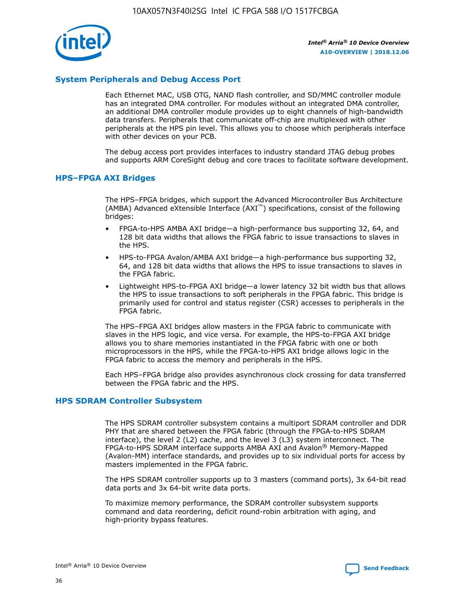

# **System Peripherals and Debug Access Port**

Each Ethernet MAC, USB OTG, NAND flash controller, and SD/MMC controller module has an integrated DMA controller. For modules without an integrated DMA controller, an additional DMA controller module provides up to eight channels of high-bandwidth data transfers. Peripherals that communicate off-chip are multiplexed with other peripherals at the HPS pin level. This allows you to choose which peripherals interface with other devices on your PCB.

The debug access port provides interfaces to industry standard JTAG debug probes and supports ARM CoreSight debug and core traces to facilitate software development.

## **HPS–FPGA AXI Bridges**

The HPS–FPGA bridges, which support the Advanced Microcontroller Bus Architecture (AMBA) Advanced eXtensible Interface (AXI™) specifications, consist of the following bridges:

- FPGA-to-HPS AMBA AXI bridge—a high-performance bus supporting 32, 64, and 128 bit data widths that allows the FPGA fabric to issue transactions to slaves in the HPS.
- HPS-to-FPGA Avalon/AMBA AXI bridge—a high-performance bus supporting 32, 64, and 128 bit data widths that allows the HPS to issue transactions to slaves in the FPGA fabric.
- Lightweight HPS-to-FPGA AXI bridge—a lower latency 32 bit width bus that allows the HPS to issue transactions to soft peripherals in the FPGA fabric. This bridge is primarily used for control and status register (CSR) accesses to peripherals in the FPGA fabric.

The HPS–FPGA AXI bridges allow masters in the FPGA fabric to communicate with slaves in the HPS logic, and vice versa. For example, the HPS-to-FPGA AXI bridge allows you to share memories instantiated in the FPGA fabric with one or both microprocessors in the HPS, while the FPGA-to-HPS AXI bridge allows logic in the FPGA fabric to access the memory and peripherals in the HPS.

Each HPS–FPGA bridge also provides asynchronous clock crossing for data transferred between the FPGA fabric and the HPS.

#### **HPS SDRAM Controller Subsystem**

The HPS SDRAM controller subsystem contains a multiport SDRAM controller and DDR PHY that are shared between the FPGA fabric (through the FPGA-to-HPS SDRAM interface), the level 2 (L2) cache, and the level 3 (L3) system interconnect. The FPGA-to-HPS SDRAM interface supports AMBA AXI and Avalon® Memory-Mapped (Avalon-MM) interface standards, and provides up to six individual ports for access by masters implemented in the FPGA fabric.

The HPS SDRAM controller supports up to 3 masters (command ports), 3x 64-bit read data ports and 3x 64-bit write data ports.

To maximize memory performance, the SDRAM controller subsystem supports command and data reordering, deficit round-robin arbitration with aging, and high-priority bypass features.

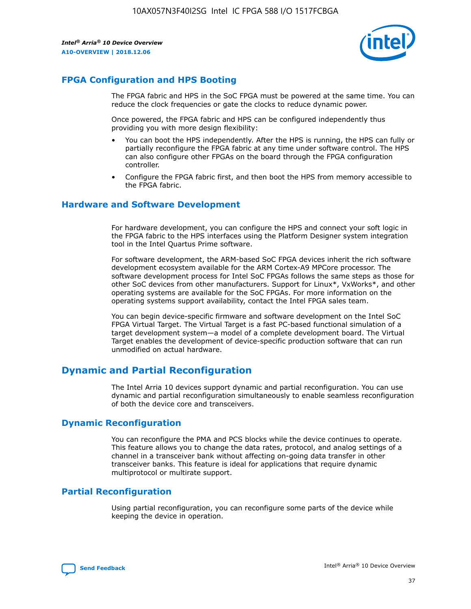

# **FPGA Configuration and HPS Booting**

The FPGA fabric and HPS in the SoC FPGA must be powered at the same time. You can reduce the clock frequencies or gate the clocks to reduce dynamic power.

Once powered, the FPGA fabric and HPS can be configured independently thus providing you with more design flexibility:

- You can boot the HPS independently. After the HPS is running, the HPS can fully or partially reconfigure the FPGA fabric at any time under software control. The HPS can also configure other FPGAs on the board through the FPGA configuration controller.
- Configure the FPGA fabric first, and then boot the HPS from memory accessible to the FPGA fabric.

## **Hardware and Software Development**

For hardware development, you can configure the HPS and connect your soft logic in the FPGA fabric to the HPS interfaces using the Platform Designer system integration tool in the Intel Quartus Prime software.

For software development, the ARM-based SoC FPGA devices inherit the rich software development ecosystem available for the ARM Cortex-A9 MPCore processor. The software development process for Intel SoC FPGAs follows the same steps as those for other SoC devices from other manufacturers. Support for Linux\*, VxWorks\*, and other operating systems are available for the SoC FPGAs. For more information on the operating systems support availability, contact the Intel FPGA sales team.

You can begin device-specific firmware and software development on the Intel SoC FPGA Virtual Target. The Virtual Target is a fast PC-based functional simulation of a target development system—a model of a complete development board. The Virtual Target enables the development of device-specific production software that can run unmodified on actual hardware.

# **Dynamic and Partial Reconfiguration**

The Intel Arria 10 devices support dynamic and partial reconfiguration. You can use dynamic and partial reconfiguration simultaneously to enable seamless reconfiguration of both the device core and transceivers.

# **Dynamic Reconfiguration**

You can reconfigure the PMA and PCS blocks while the device continues to operate. This feature allows you to change the data rates, protocol, and analog settings of a channel in a transceiver bank without affecting on-going data transfer in other transceiver banks. This feature is ideal for applications that require dynamic multiprotocol or multirate support.

# **Partial Reconfiguration**

Using partial reconfiguration, you can reconfigure some parts of the device while keeping the device in operation.

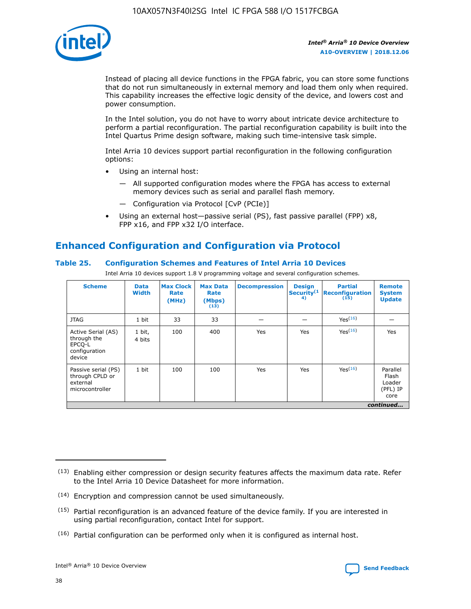

Instead of placing all device functions in the FPGA fabric, you can store some functions that do not run simultaneously in external memory and load them only when required. This capability increases the effective logic density of the device, and lowers cost and power consumption.

In the Intel solution, you do not have to worry about intricate device architecture to perform a partial reconfiguration. The partial reconfiguration capability is built into the Intel Quartus Prime design software, making such time-intensive task simple.

Intel Arria 10 devices support partial reconfiguration in the following configuration options:

- Using an internal host:
	- All supported configuration modes where the FPGA has access to external memory devices such as serial and parallel flash memory.
	- Configuration via Protocol [CvP (PCIe)]
- Using an external host—passive serial (PS), fast passive parallel (FPP) x8, FPP x16, and FPP x32 I/O interface.

# **Enhanced Configuration and Configuration via Protocol**

# **Table 25. Configuration Schemes and Features of Intel Arria 10 Devices**

Intel Arria 10 devices support 1.8 V programming voltage and several configuration schemes.

| <b>Scheme</b>                                                          | <b>Data</b><br><b>Width</b> | <b>Max Clock</b><br>Rate<br>(MHz) | <b>Max Data</b><br>Rate<br>(Mbps)<br>(13) | <b>Decompression</b> | <b>Design</b><br>Security <sup>(1</sup><br>4) | <b>Partial</b><br><b>Reconfiguration</b><br>(15) | <b>Remote</b><br><b>System</b><br><b>Update</b> |
|------------------------------------------------------------------------|-----------------------------|-----------------------------------|-------------------------------------------|----------------------|-----------------------------------------------|--------------------------------------------------|-------------------------------------------------|
| <b>JTAG</b>                                                            | 1 bit                       | 33                                | 33                                        |                      |                                               | Yes(16)                                          |                                                 |
| Active Serial (AS)<br>through the<br>EPCO-L<br>configuration<br>device | 1 bit,<br>4 bits            | 100                               | 400                                       | Yes                  | Yes                                           | $Y_{PS}(16)$                                     | Yes                                             |
| Passive serial (PS)<br>through CPLD or<br>external<br>microcontroller  | 1 bit                       | 100                               | 100                                       | Yes                  | Yes                                           | Yes(16)                                          | Parallel<br>Flash<br>Loader<br>(PFL) IP<br>core |
|                                                                        |                             |                                   |                                           |                      |                                               |                                                  | continued                                       |

<sup>(13)</sup> Enabling either compression or design security features affects the maximum data rate. Refer to the Intel Arria 10 Device Datasheet for more information.

<sup>(14)</sup> Encryption and compression cannot be used simultaneously.

 $(15)$  Partial reconfiguration is an advanced feature of the device family. If you are interested in using partial reconfiguration, contact Intel for support.

 $(16)$  Partial configuration can be performed only when it is configured as internal host.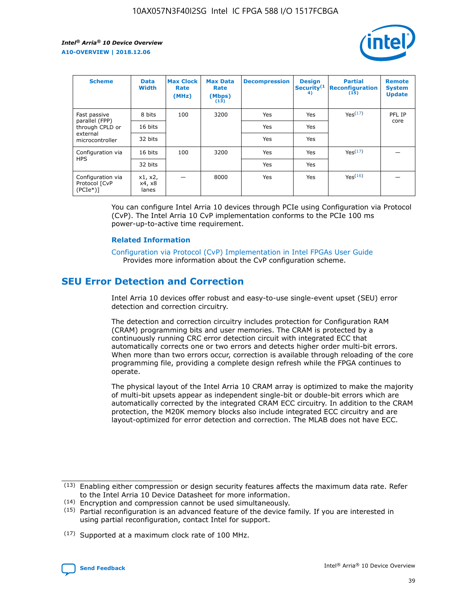

| <b>Scheme</b>                                   | <b>Data</b><br><b>Width</b> | <b>Max Clock</b><br>Rate<br>(MHz) | <b>Max Data</b><br>Rate<br>(Mbps)<br>(13) | <b>Decompression</b> | <b>Design</b><br>Security <sup>(1</sup><br>4) | <b>Partial</b><br><b>Reconfiguration</b><br>(15) | <b>Remote</b><br><b>System</b><br><b>Update</b> |
|-------------------------------------------------|-----------------------------|-----------------------------------|-------------------------------------------|----------------------|-----------------------------------------------|--------------------------------------------------|-------------------------------------------------|
| Fast passive                                    | 8 bits                      | 100                               | 3200                                      | Yes                  | Yes                                           | Yes(17)                                          | PFL IP                                          |
| parallel (FPP)<br>through CPLD or               | 16 bits                     |                                   |                                           | Yes                  | Yes                                           |                                                  | core                                            |
| external<br>microcontroller                     | 32 bits                     |                                   |                                           | Yes                  | Yes                                           |                                                  |                                                 |
| Configuration via                               | 16 bits                     | 100                               | 3200                                      | Yes                  | Yes                                           | Yes <sup>(17)</sup>                              |                                                 |
| <b>HPS</b>                                      | 32 bits                     |                                   |                                           | Yes                  | Yes                                           |                                                  |                                                 |
| Configuration via<br>Protocol [CvP<br>$(PCIe*)$ | x1, x2,<br>x4, x8<br>lanes  |                                   | 8000                                      | Yes                  | Yes                                           | Yes(16)                                          |                                                 |

You can configure Intel Arria 10 devices through PCIe using Configuration via Protocol (CvP). The Intel Arria 10 CvP implementation conforms to the PCIe 100 ms power-up-to-active time requirement.

#### **Related Information**

[Configuration via Protocol \(CvP\) Implementation in Intel FPGAs User Guide](https://www.intel.com/content/www/us/en/programmable/documentation/dsu1441819344145.html#dsu1442269728522) Provides more information about the CvP configuration scheme.

# **SEU Error Detection and Correction**

Intel Arria 10 devices offer robust and easy-to-use single-event upset (SEU) error detection and correction circuitry.

The detection and correction circuitry includes protection for Configuration RAM (CRAM) programming bits and user memories. The CRAM is protected by a continuously running CRC error detection circuit with integrated ECC that automatically corrects one or two errors and detects higher order multi-bit errors. When more than two errors occur, correction is available through reloading of the core programming file, providing a complete design refresh while the FPGA continues to operate.

The physical layout of the Intel Arria 10 CRAM array is optimized to make the majority of multi-bit upsets appear as independent single-bit or double-bit errors which are automatically corrected by the integrated CRAM ECC circuitry. In addition to the CRAM protection, the M20K memory blocks also include integrated ECC circuitry and are layout-optimized for error detection and correction. The MLAB does not have ECC.

(14) Encryption and compression cannot be used simultaneously.

<sup>(17)</sup> Supported at a maximum clock rate of 100 MHz.



 $(13)$  Enabling either compression or design security features affects the maximum data rate. Refer to the Intel Arria 10 Device Datasheet for more information.

 $(15)$  Partial reconfiguration is an advanced feature of the device family. If you are interested in using partial reconfiguration, contact Intel for support.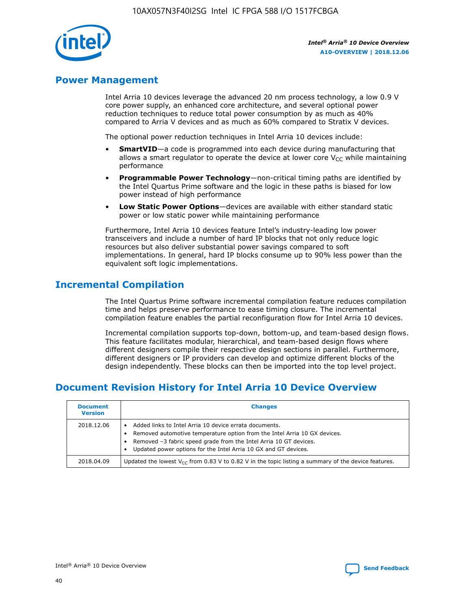

# **Power Management**

Intel Arria 10 devices leverage the advanced 20 nm process technology, a low 0.9 V core power supply, an enhanced core architecture, and several optional power reduction techniques to reduce total power consumption by as much as 40% compared to Arria V devices and as much as 60% compared to Stratix V devices.

The optional power reduction techniques in Intel Arria 10 devices include:

- **SmartVID**—a code is programmed into each device during manufacturing that allows a smart regulator to operate the device at lower core  $V_{CC}$  while maintaining performance
- **Programmable Power Technology**—non-critical timing paths are identified by the Intel Quartus Prime software and the logic in these paths is biased for low power instead of high performance
- **Low Static Power Options**—devices are available with either standard static power or low static power while maintaining performance

Furthermore, Intel Arria 10 devices feature Intel's industry-leading low power transceivers and include a number of hard IP blocks that not only reduce logic resources but also deliver substantial power savings compared to soft implementations. In general, hard IP blocks consume up to 90% less power than the equivalent soft logic implementations.

# **Incremental Compilation**

The Intel Quartus Prime software incremental compilation feature reduces compilation time and helps preserve performance to ease timing closure. The incremental compilation feature enables the partial reconfiguration flow for Intel Arria 10 devices.

Incremental compilation supports top-down, bottom-up, and team-based design flows. This feature facilitates modular, hierarchical, and team-based design flows where different designers compile their respective design sections in parallel. Furthermore, different designers or IP providers can develop and optimize different blocks of the design independently. These blocks can then be imported into the top level project.

# **Document Revision History for Intel Arria 10 Device Overview**

| <b>Document</b><br><b>Version</b> | <b>Changes</b>                                                                                                                                                                                                                                                              |
|-----------------------------------|-----------------------------------------------------------------------------------------------------------------------------------------------------------------------------------------------------------------------------------------------------------------------------|
| 2018.12.06                        | Added links to Intel Arria 10 device errata documents.<br>Removed automotive temperature option from the Intel Arria 10 GX devices.<br>Removed -3 fabric speed grade from the Intel Arria 10 GT devices.<br>Updated power options for the Intel Arria 10 GX and GT devices. |
| 2018.04.09                        | Updated the lowest $V_{CC}$ from 0.83 V to 0.82 V in the topic listing a summary of the device features.                                                                                                                                                                    |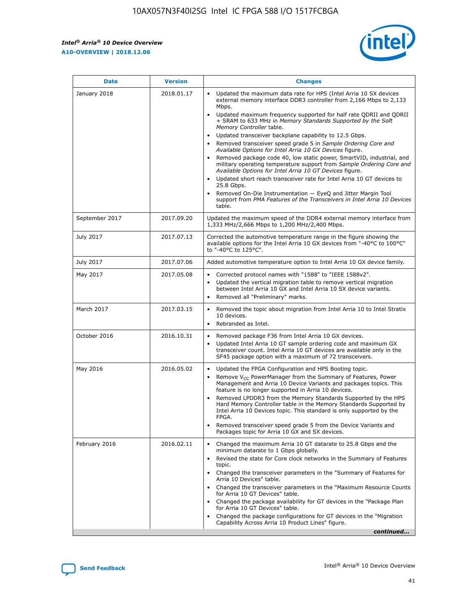*Intel® Arria® 10 Device Overview* **A10-OVERVIEW | 2018.12.06**



| <b>Date</b>    | <b>Version</b> | <b>Changes</b>                                                                                                                                                                                                                                                                                                                                                                                                                                                                                                                                                                                                                                                                                                                                                                                                                                                                                                                                                            |
|----------------|----------------|---------------------------------------------------------------------------------------------------------------------------------------------------------------------------------------------------------------------------------------------------------------------------------------------------------------------------------------------------------------------------------------------------------------------------------------------------------------------------------------------------------------------------------------------------------------------------------------------------------------------------------------------------------------------------------------------------------------------------------------------------------------------------------------------------------------------------------------------------------------------------------------------------------------------------------------------------------------------------|
| January 2018   | 2018.01.17     | Updated the maximum data rate for HPS (Intel Arria 10 SX devices<br>external memory interface DDR3 controller from 2,166 Mbps to 2,133<br>Mbps.<br>Updated maximum frequency supported for half rate QDRII and QDRII<br>+ SRAM to 633 MHz in Memory Standards Supported by the Soft<br>Memory Controller table.<br>Updated transceiver backplane capability to 12.5 Gbps.<br>$\bullet$<br>Removed transceiver speed grade 5 in Sample Ordering Core and<br>Available Options for Intel Arria 10 GX Devices figure.<br>Removed package code 40, low static power, SmartVID, industrial, and<br>military operating temperature support from Sample Ordering Core and<br>Available Options for Intel Arria 10 GT Devices figure.<br>Updated short reach transceiver rate for Intel Arria 10 GT devices to<br>25.8 Gbps.<br>Removed On-Die Instrumentation - EyeQ and Jitter Margin Tool<br>support from PMA Features of the Transceivers in Intel Arria 10 Devices<br>table. |
| September 2017 | 2017.09.20     | Updated the maximum speed of the DDR4 external memory interface from<br>1,333 MHz/2,666 Mbps to 1,200 MHz/2,400 Mbps.                                                                                                                                                                                                                                                                                                                                                                                                                                                                                                                                                                                                                                                                                                                                                                                                                                                     |
| July 2017      | 2017.07.13     | Corrected the automotive temperature range in the figure showing the<br>available options for the Intel Arria 10 GX devices from "-40°C to 100°C"<br>to "-40°C to 125°C".                                                                                                                                                                                                                                                                                                                                                                                                                                                                                                                                                                                                                                                                                                                                                                                                 |
| July 2017      | 2017.07.06     | Added automotive temperature option to Intel Arria 10 GX device family.                                                                                                                                                                                                                                                                                                                                                                                                                                                                                                                                                                                                                                                                                                                                                                                                                                                                                                   |
| May 2017       | 2017.05.08     | Corrected protocol names with "1588" to "IEEE 1588v2".<br>$\bullet$<br>Updated the vertical migration table to remove vertical migration<br>$\bullet$<br>between Intel Arria 10 GX and Intel Arria 10 SX device variants.<br>Removed all "Preliminary" marks.<br>$\bullet$                                                                                                                                                                                                                                                                                                                                                                                                                                                                                                                                                                                                                                                                                                |
| March 2017     | 2017.03.15     | Removed the topic about migration from Intel Arria 10 to Intel Stratix<br>10 devices.<br>Rebranded as Intel.<br>$\bullet$                                                                                                                                                                                                                                                                                                                                                                                                                                                                                                                                                                                                                                                                                                                                                                                                                                                 |
| October 2016   | 2016.10.31     | Removed package F36 from Intel Arria 10 GX devices.<br>Updated Intel Arria 10 GT sample ordering code and maximum GX<br>$\bullet$<br>transceiver count. Intel Arria 10 GT devices are available only in the<br>SF45 package option with a maximum of 72 transceivers.                                                                                                                                                                                                                                                                                                                                                                                                                                                                                                                                                                                                                                                                                                     |
| May 2016       | 2016.05.02     | Updated the FPGA Configuration and HPS Booting topic.<br>$\bullet$<br>Remove V <sub>CC</sub> PowerManager from the Summary of Features, Power<br>Management and Arria 10 Device Variants and packages topics. This<br>feature is no longer supported in Arria 10 devices.<br>Removed LPDDR3 from the Memory Standards Supported by the HPS<br>Hard Memory Controller table in the Memory Standards Supported by<br>Intel Arria 10 Devices topic. This standard is only supported by the<br>FPGA.<br>Removed transceiver speed grade 5 from the Device Variants and<br>Packages topic for Arria 10 GX and SX devices.                                                                                                                                                                                                                                                                                                                                                      |
| February 2016  | 2016.02.11     | Changed the maximum Arria 10 GT datarate to 25.8 Gbps and the<br>minimum datarate to 1 Gbps globally.<br>Revised the state for Core clock networks in the Summary of Features<br>$\bullet$<br>topic.<br>Changed the transceiver parameters in the "Summary of Features for<br>$\bullet$<br>Arria 10 Devices" table.<br>• Changed the transceiver parameters in the "Maximum Resource Counts<br>for Arria 10 GT Devices" table.<br>Changed the package availability for GT devices in the "Package Plan<br>for Arria 10 GT Devices" table.<br>Changed the package configurations for GT devices in the "Migration"<br>Capability Across Arria 10 Product Lines" figure.<br>continued                                                                                                                                                                                                                                                                                       |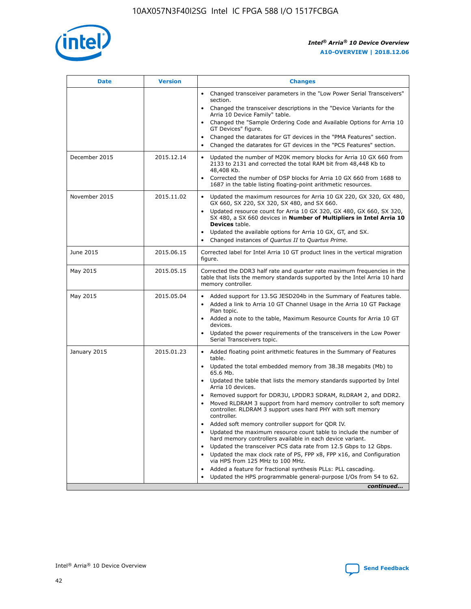

| <b>Date</b>   | <b>Version</b> | <b>Changes</b>                                                                                                                                                                   |
|---------------|----------------|----------------------------------------------------------------------------------------------------------------------------------------------------------------------------------|
|               |                | • Changed transceiver parameters in the "Low Power Serial Transceivers"<br>section.                                                                                              |
|               |                | • Changed the transceiver descriptions in the "Device Variants for the<br>Arria 10 Device Family" table.                                                                         |
|               |                | Changed the "Sample Ordering Code and Available Options for Arria 10<br>GT Devices" figure.                                                                                      |
|               |                | Changed the datarates for GT devices in the "PMA Features" section.                                                                                                              |
|               |                | Changed the datarates for GT devices in the "PCS Features" section.<br>$\bullet$                                                                                                 |
| December 2015 | 2015.12.14     | Updated the number of M20K memory blocks for Arria 10 GX 660 from<br>$\bullet$<br>2133 to 2131 and corrected the total RAM bit from 48,448 Kb to<br>48,408 Kb.                   |
|               |                | Corrected the number of DSP blocks for Arria 10 GX 660 from 1688 to<br>$\bullet$<br>1687 in the table listing floating-point arithmetic resources.                               |
| November 2015 | 2015.11.02     | Updated the maximum resources for Arria 10 GX 220, GX 320, GX 480,<br>$\bullet$<br>GX 660, SX 220, SX 320, SX 480, and SX 660.                                                   |
|               |                | Updated resource count for Arria 10 GX 320, GX 480, GX 660, SX 320,<br>$\bullet$<br>SX 480, a SX 660 devices in Number of Multipliers in Intel Arria 10<br><b>Devices</b> table. |
|               |                | Updated the available options for Arria 10 GX, GT, and SX.<br>$\bullet$                                                                                                          |
|               |                | Changed instances of Quartus II to Quartus Prime.<br>$\bullet$                                                                                                                   |
| June 2015     | 2015.06.15     | Corrected label for Intel Arria 10 GT product lines in the vertical migration<br>figure.                                                                                         |
| May 2015      | 2015.05.15     | Corrected the DDR3 half rate and quarter rate maximum frequencies in the<br>table that lists the memory standards supported by the Intel Arria 10 hard<br>memory controller.     |
| May 2015      | 2015.05.04     | • Added support for 13.5G JESD204b in the Summary of Features table.<br>• Added a link to Arria 10 GT Channel Usage in the Arria 10 GT Package<br>Plan topic.                    |
|               |                | • Added a note to the table, Maximum Resource Counts for Arria 10 GT<br>devices.                                                                                                 |
|               |                | Updated the power requirements of the transceivers in the Low Power<br>Serial Transceivers topic.                                                                                |
| January 2015  | 2015.01.23     | • Added floating point arithmetic features in the Summary of Features<br>table.                                                                                                  |
|               |                | • Updated the total embedded memory from 38.38 megabits (Mb) to<br>65.6 Mb.                                                                                                      |
|               |                | • Updated the table that lists the memory standards supported by Intel<br>Arria 10 devices.                                                                                      |
|               |                | Removed support for DDR3U, LPDDR3 SDRAM, RLDRAM 2, and DDR2.<br>Moved RLDRAM 3 support from hard memory controller to soft memory                                                |
|               |                | controller. RLDRAM 3 support uses hard PHY with soft memory<br>controller.                                                                                                       |
|               |                | Added soft memory controller support for QDR IV.                                                                                                                                 |
|               |                | Updated the maximum resource count table to include the number of<br>hard memory controllers available in each device variant.                                                   |
|               |                | Updated the transceiver PCS data rate from 12.5 Gbps to 12 Gbps.<br>$\bullet$                                                                                                    |
|               |                | Updated the max clock rate of PS, FPP x8, FPP x16, and Configuration<br>via HPS from 125 MHz to 100 MHz.                                                                         |
|               |                | Added a feature for fractional synthesis PLLs: PLL cascading.                                                                                                                    |
|               |                | Updated the HPS programmable general-purpose I/Os from 54 to 62.<br>$\bullet$                                                                                                    |
|               |                | continued                                                                                                                                                                        |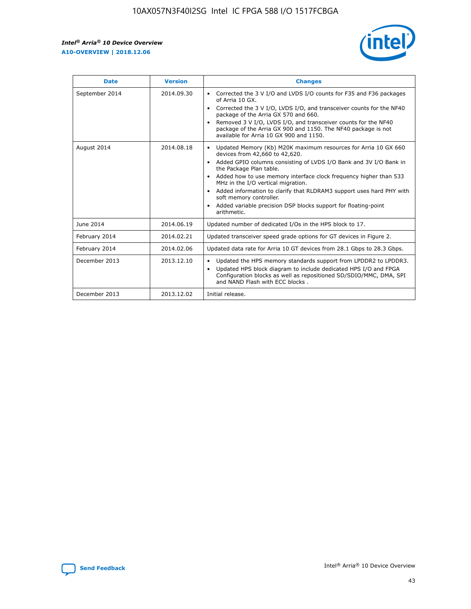r



| <b>Date</b>    | <b>Version</b> | <b>Changes</b>                                                                                                                                                                                                                                                                                                                                                                                                                                                                                                                                      |
|----------------|----------------|-----------------------------------------------------------------------------------------------------------------------------------------------------------------------------------------------------------------------------------------------------------------------------------------------------------------------------------------------------------------------------------------------------------------------------------------------------------------------------------------------------------------------------------------------------|
| September 2014 | 2014.09.30     | Corrected the 3 V I/O and LVDS I/O counts for F35 and F36 packages<br>$\bullet$<br>of Arria 10 GX.<br>Corrected the 3 V I/O, LVDS I/O, and transceiver counts for the NF40<br>$\bullet$<br>package of the Arria GX 570 and 660.<br>Removed 3 V I/O, LVDS I/O, and transceiver counts for the NF40<br>package of the Arria GX 900 and 1150. The NF40 package is not<br>available for Arria 10 GX 900 and 1150.                                                                                                                                       |
| August 2014    | 2014.08.18     | Updated Memory (Kb) M20K maximum resources for Arria 10 GX 660<br>devices from 42,660 to 42,620.<br>Added GPIO columns consisting of LVDS I/O Bank and 3V I/O Bank in<br>$\bullet$<br>the Package Plan table.<br>Added how to use memory interface clock frequency higher than 533<br>$\bullet$<br>MHz in the I/O vertical migration.<br>Added information to clarify that RLDRAM3 support uses hard PHY with<br>$\bullet$<br>soft memory controller.<br>Added variable precision DSP blocks support for floating-point<br>$\bullet$<br>arithmetic. |
| June 2014      | 2014.06.19     | Updated number of dedicated I/Os in the HPS block to 17.                                                                                                                                                                                                                                                                                                                                                                                                                                                                                            |
| February 2014  | 2014.02.21     | Updated transceiver speed grade options for GT devices in Figure 2.                                                                                                                                                                                                                                                                                                                                                                                                                                                                                 |
| February 2014  | 2014.02.06     | Updated data rate for Arria 10 GT devices from 28.1 Gbps to 28.3 Gbps.                                                                                                                                                                                                                                                                                                                                                                                                                                                                              |
| December 2013  | 2013.12.10     | Updated the HPS memory standards support from LPDDR2 to LPDDR3.<br>Updated HPS block diagram to include dedicated HPS I/O and FPGA<br>$\bullet$<br>Configuration blocks as well as repositioned SD/SDIO/MMC, DMA, SPI<br>and NAND Flash with ECC blocks.                                                                                                                                                                                                                                                                                            |
| December 2013  | 2013.12.02     | Initial release.                                                                                                                                                                                                                                                                                                                                                                                                                                                                                                                                    |